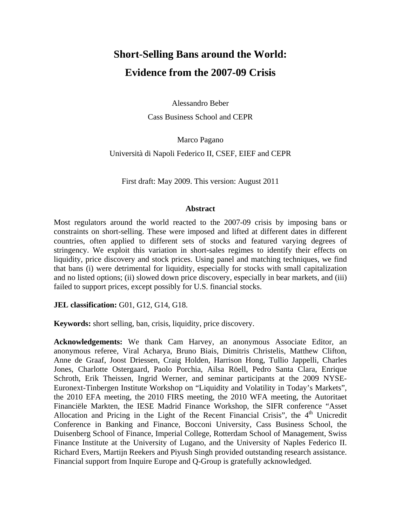# **Short-Selling Bans around the World: Evidence from the 2007-09 Crisis**

Alessandro Beber

Cass Business School and CEPR

Marco Pagano

Università di Napoli Federico II, CSEF, EIEF and CEPR

First draft: May 2009. This version: August 2011

# **Abstract**

Most regulators around the world reacted to the 2007-09 crisis by imposing bans or constraints on short-selling. These were imposed and lifted at different dates in different countries, often applied to different sets of stocks and featured varying degrees of stringency. We exploit this variation in short-sales regimes to identify their effects on liquidity, price discovery and stock prices. Using panel and matching techniques, we find that bans (i) were detrimental for liquidity, especially for stocks with small capitalization and no listed options; (ii) slowed down price discovery, especially in bear markets, and (iii) failed to support prices, except possibly for U.S. financial stocks.

**JEL classification:** G01, G12, G14, G18.

**Keywords:** short selling, ban, crisis, liquidity, price discovery.

**Acknowledgements:** We thank Cam Harvey, an anonymous Associate Editor, an anonymous referee, Viral Acharya, Bruno Biais, Dimitris Christelis, Matthew Clifton, Anne de Graaf, Joost Driessen, Craig Holden, Harrison Hong, Tullio Jappelli, Charles Jones, Charlotte Ostergaard, Paolo Porchia, Ailsa Röell, Pedro Santa Clara, Enrique Schroth, Erik Theissen, Ingrid Werner, and seminar participants at the 2009 NYSE-Euronext-Tinbergen Institute Workshop on "Liquidity and Volatility in Today's Markets", the 2010 EFA meeting, the 2010 FIRS meeting, the 2010 WFA meeting, the Autoritaet Financiële Markten, the IESE Madrid Finance Workshop, the SIFR conference "Asset Allocation and Pricing in the Light of the Recent Financial Crisis", the  $4<sup>th</sup>$  Unicredit Conference in Banking and Finance, Bocconi University, Cass Business School, the Duisenberg School of Finance, Imperial College, Rotterdam School of Management, Swiss Finance Institute at the University of Lugano, and the University of Naples Federico II. Richard Evers, Martijn Reekers and Piyush Singh provided outstanding research assistance. Financial support from Inquire Europe and Q-Group is gratefully acknowledged.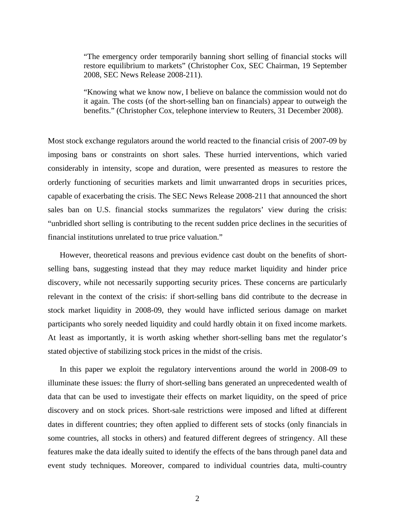"The emergency order temporarily banning short selling of financial stocks will restore equilibrium to markets" (Christopher Cox, SEC Chairman, 19 September 2008, SEC News Release 2008-211).

"Knowing what we know now, I believe on balance the commission would not do it again. The costs (of the short-selling ban on financials) appear to outweigh the benefits." (Christopher Cox, telephone interview to Reuters, 31 December 2008).

Most stock exchange regulators around the world reacted to the financial crisis of 2007-09 by imposing bans or constraints on short sales. These hurried interventions, which varied considerably in intensity, scope and duration, were presented as measures to restore the orderly functioning of securities markets and limit unwarranted drops in securities prices, capable of exacerbating the crisis. The SEC News Release 2008-211 that announced the short sales ban on U.S. financial stocks summarizes the regulators' view during the crisis: "unbridled short selling is contributing to the recent sudden price declines in the securities of financial institutions unrelated to true price valuation."

However, theoretical reasons and previous evidence cast doubt on the benefits of shortselling bans, suggesting instead that they may reduce market liquidity and hinder price discovery, while not necessarily supporting security prices. These concerns are particularly relevant in the context of the crisis: if short-selling bans did contribute to the decrease in stock market liquidity in 2008-09, they would have inflicted serious damage on market participants who sorely needed liquidity and could hardly obtain it on fixed income markets. At least as importantly, it is worth asking whether short-selling bans met the regulator's stated objective of stabilizing stock prices in the midst of the crisis.

In this paper we exploit the regulatory interventions around the world in 2008-09 to illuminate these issues: the flurry of short-selling bans generated an unprecedented wealth of data that can be used to investigate their effects on market liquidity, on the speed of price discovery and on stock prices. Short-sale restrictions were imposed and lifted at different dates in different countries; they often applied to different sets of stocks (only financials in some countries, all stocks in others) and featured different degrees of stringency. All these features make the data ideally suited to identify the effects of the bans through panel data and event study techniques. Moreover, compared to individual countries data, multi-country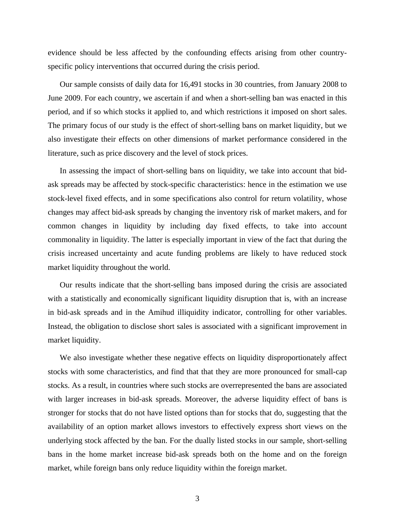evidence should be less affected by the confounding effects arising from other countryspecific policy interventions that occurred during the crisis period.

Our sample consists of daily data for 16,491 stocks in 30 countries, from January 2008 to June 2009. For each country, we ascertain if and when a short-selling ban was enacted in this period, and if so which stocks it applied to, and which restrictions it imposed on short sales. The primary focus of our study is the effect of short-selling bans on market liquidity, but we also investigate their effects on other dimensions of market performance considered in the literature, such as price discovery and the level of stock prices.

In assessing the impact of short-selling bans on liquidity, we take into account that bidask spreads may be affected by stock-specific characteristics: hence in the estimation we use stock-level fixed effects, and in some specifications also control for return volatility, whose changes may affect bid-ask spreads by changing the inventory risk of market makers, and for common changes in liquidity by including day fixed effects, to take into account commonality in liquidity. The latter is especially important in view of the fact that during the crisis increased uncertainty and acute funding problems are likely to have reduced stock market liquidity throughout the world.

Our results indicate that the short-selling bans imposed during the crisis are associated with a statistically and economically significant liquidity disruption that is, with an increase in bid-ask spreads and in the Amihud illiquidity indicator, controlling for other variables. Instead, the obligation to disclose short sales is associated with a significant improvement in market liquidity.

We also investigate whether these negative effects on liquidity disproportionately affect stocks with some characteristics, and find that that they are more pronounced for small-cap stocks. As a result, in countries where such stocks are overrepresented the bans are associated with larger increases in bid-ask spreads. Moreover, the adverse liquidity effect of bans is stronger for stocks that do not have listed options than for stocks that do, suggesting that the availability of an option market allows investors to effectively express short views on the underlying stock affected by the ban. For the dually listed stocks in our sample, short-selling bans in the home market increase bid-ask spreads both on the home and on the foreign market, while foreign bans only reduce liquidity within the foreign market.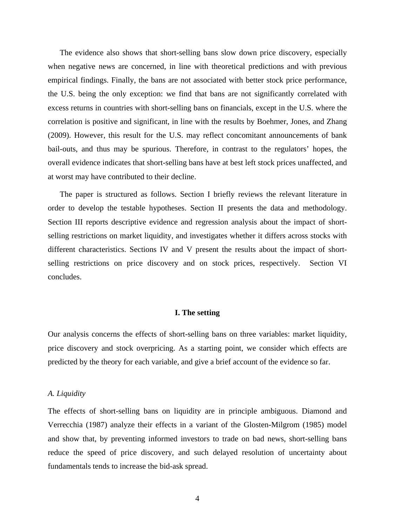The evidence also shows that short-selling bans slow down price discovery, especially when negative news are concerned, in line with theoretical predictions and with previous empirical findings. Finally, the bans are not associated with better stock price performance, the U.S. being the only exception: we find that bans are not significantly correlated with excess returns in countries with short-selling bans on financials, except in the U.S. where the correlation is positive and significant, in line with the results by Boehmer, Jones, and Zhang (2009). However, this result for the U.S. may reflect concomitant announcements of bank bail-outs, and thus may be spurious. Therefore, in contrast to the regulators' hopes, the overall evidence indicates that short-selling bans have at best left stock prices unaffected, and at worst may have contributed to their decline.

The paper is structured as follows. Section I briefly reviews the relevant literature in order to develop the testable hypotheses. Section II presents the data and methodology. Section III reports descriptive evidence and regression analysis about the impact of shortselling restrictions on market liquidity, and investigates whether it differs across stocks with different characteristics. Sections IV and V present the results about the impact of shortselling restrictions on price discovery and on stock prices, respectively. Section VI concludes.

# **I. The setting**

Our analysis concerns the effects of short-selling bans on three variables: market liquidity, price discovery and stock overpricing. As a starting point, we consider which effects are predicted by the theory for each variable, and give a brief account of the evidence so far.

#### *A. Liquidity*

The effects of short-selling bans on liquidity are in principle ambiguous. Diamond and Verrecchia (1987) analyze their effects in a variant of the Glosten-Milgrom (1985) model and show that, by preventing informed investors to trade on bad news, short-selling bans reduce the speed of price discovery, and such delayed resolution of uncertainty about fundamentals tends to increase the bid-ask spread.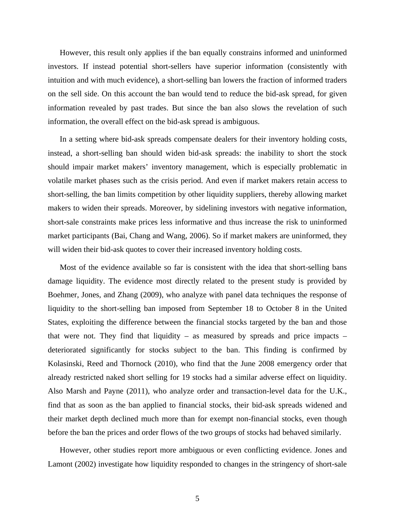However, this result only applies if the ban equally constrains informed and uninformed investors. If instead potential short-sellers have superior information (consistently with intuition and with much evidence), a short-selling ban lowers the fraction of informed traders on the sell side. On this account the ban would tend to reduce the bid-ask spread, for given information revealed by past trades. But since the ban also slows the revelation of such information, the overall effect on the bid-ask spread is ambiguous.

In a setting where bid-ask spreads compensate dealers for their inventory holding costs, instead, a short-selling ban should widen bid-ask spreads: the inability to short the stock should impair market makers' inventory management, which is especially problematic in volatile market phases such as the crisis period. And even if market makers retain access to short-selling, the ban limits competition by other liquidity suppliers, thereby allowing market makers to widen their spreads. Moreover, by sidelining investors with negative information, short-sale constraints make prices less informative and thus increase the risk to uninformed market participants (Bai, Chang and Wang, 2006). So if market makers are uninformed, they will widen their bid-ask quotes to cover their increased inventory holding costs.

Most of the evidence available so far is consistent with the idea that short-selling bans damage liquidity. The evidence most directly related to the present study is provided by Boehmer, Jones, and Zhang (2009), who analyze with panel data techniques the response of liquidity to the short-selling ban imposed from September 18 to October 8 in the United States, exploiting the difference between the financial stocks targeted by the ban and those that were not. They find that liquidity – as measured by spreads and price impacts – deteriorated significantly for stocks subject to the ban. This finding is confirmed by Kolasinski, Reed and Thornock (2010), who find that the June 2008 emergency order that already restricted naked short selling for 19 stocks had a similar adverse effect on liquidity. Also Marsh and Payne (2011), who analyze order and transaction-level data for the U.K., find that as soon as the ban applied to financial stocks, their bid-ask spreads widened and their market depth declined much more than for exempt non-financial stocks, even though before the ban the prices and order flows of the two groups of stocks had behaved similarly.

However, other studies report more ambiguous or even conflicting evidence. Jones and Lamont (2002) investigate how liquidity responded to changes in the stringency of short-sale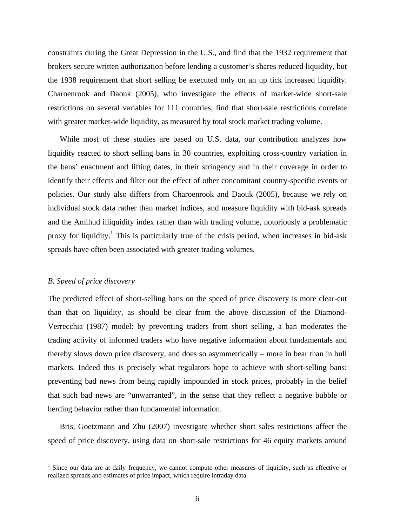constraints during the Great Depression in the U.S., and find that the 1932 requirement that brokers secure written authorization before lending a customer's shares reduced liquidity, but the 1938 requirement that short selling be executed only on an up tick increased liquidity. Charoenrook and Daouk (2005), who investigate the effects of market-wide short-sale restrictions on several variables for 111 countries, find that short-sale restrictions correlate with greater market-wide liquidity, as measured by total stock market trading volume.

While most of these studies are based on U.S. data, our contribution analyzes how liquidity reacted to short selling bans in 30 countries, exploiting cross-country variation in the bans' enactment and lifting dates, in their stringency and in their coverage in order to identify their effects and filter out the effect of other concomitant country-specific events or policies. Our study also differs from Charoenrook and Daouk (2005), because we rely on individual stock data rather than market indices, and measure liquidity with bid-ask spreads and the Amihud illiquidity index rather than with trading volume, notoriously a problematic proxy for liquidity.<sup>1</sup> This is particularly true of the crisis period, when increases in bid-ask spreads have often been associated with greater trading volumes.

## *B. Speed of price discovery*

 $\overline{a}$ 

The predicted effect of short-selling bans on the speed of price discovery is more clear-cut than that on liquidity, as should be clear from the above discussion of the Diamond-Verrecchia (1987) model: by preventing traders from short selling, a ban moderates the trading activity of informed traders who have negative information about fundamentals and thereby slows down price discovery, and does so asymmetrically – more in bear than in bull markets. Indeed this is precisely what regulators hope to achieve with short-selling bans: preventing bad news from being rapidly impounded in stock prices, probably in the belief that such bad news are "unwarranted", in the sense that they reflect a negative bubble or herding behavior rather than fundamental information.

Bris, Goetzmann and Zhu (2007) investigate whether short sales restrictions affect the speed of price discovery, using data on short-sale restrictions for 46 equity markets around

<sup>&</sup>lt;sup>1</sup> Since our data are at daily frequency, we cannot compute other measures of liquidity, such as effective or realized spreads and estimates of price impact, which require intraday data.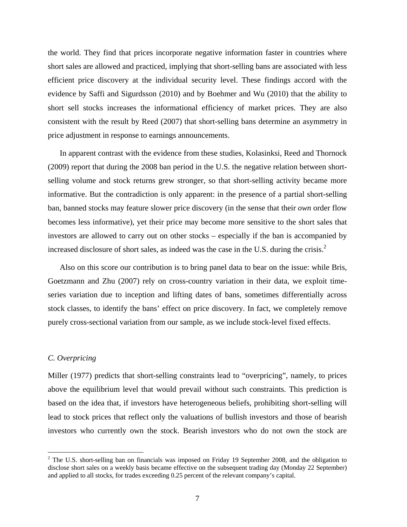the world. They find that prices incorporate negative information faster in countries where short sales are allowed and practiced, implying that short-selling bans are associated with less efficient price discovery at the individual security level. These findings accord with the evidence by Saffi and Sigurdsson (2010) and by Boehmer and Wu (2010) that the ability to short sell stocks increases the informational efficiency of market prices. They are also consistent with the result by Reed (2007) that short-selling bans determine an asymmetry in price adjustment in response to earnings announcements.

In apparent contrast with the evidence from these studies, Kolasinksi, Reed and Thornock (2009) report that during the 2008 ban period in the U.S. the negative relation between shortselling volume and stock returns grew stronger, so that short-selling activity became more informative. But the contradiction is only apparent: in the presence of a partial short-selling ban, banned stocks may feature slower price discovery (in the sense that their *own* order flow becomes less informative), yet their price may become more sensitive to the short sales that investors are allowed to carry out on other stocks – especially if the ban is accompanied by increased disclosure of short sales, as indeed was the case in the U.S. during the crisis.<sup>2</sup>

Also on this score our contribution is to bring panel data to bear on the issue: while Bris, Goetzmann and Zhu (2007) rely on cross-country variation in their data, we exploit timeseries variation due to inception and lifting dates of bans, sometimes differentially across stock classes, to identify the bans' effect on price discovery. In fact, we completely remove purely cross-sectional variation from our sample, as we include stock-level fixed effects.

## *C. Overpricing*

1

Miller (1977) predicts that short-selling constraints lead to "overpricing", namely, to prices above the equilibrium level that would prevail without such constraints. This prediction is based on the idea that, if investors have heterogeneous beliefs, prohibiting short-selling will lead to stock prices that reflect only the valuations of bullish investors and those of bearish investors who currently own the stock. Bearish investors who do not own the stock are

 $2$  The U.S. short-selling ban on financials was imposed on Friday 19 September 2008, and the obligation to disclose short sales on a weekly basis became effective on the subsequent trading day (Monday 22 September) and applied to all stocks, for trades exceeding 0.25 percent of the relevant company's capital.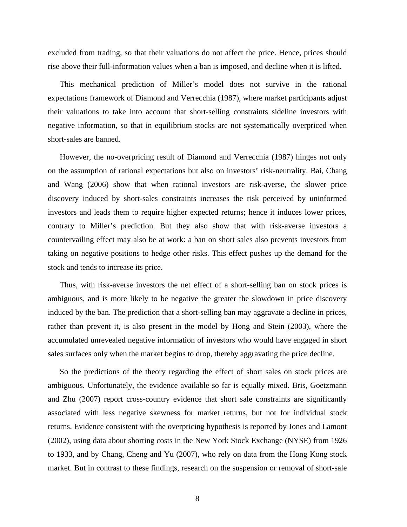excluded from trading, so that their valuations do not affect the price. Hence, prices should rise above their full-information values when a ban is imposed, and decline when it is lifted.

This mechanical prediction of Miller's model does not survive in the rational expectations framework of Diamond and Verrecchia (1987), where market participants adjust their valuations to take into account that short-selling constraints sideline investors with negative information, so that in equilibrium stocks are not systematically overpriced when short-sales are banned.

However, the no-overpricing result of Diamond and Verrecchia (1987) hinges not only on the assumption of rational expectations but also on investors' risk-neutrality. Bai, Chang and Wang (2006) show that when rational investors are risk-averse, the slower price discovery induced by short-sales constraints increases the risk perceived by uninformed investors and leads them to require higher expected returns; hence it induces lower prices, contrary to Miller's prediction. But they also show that with risk-averse investors a countervailing effect may also be at work: a ban on short sales also prevents investors from taking on negative positions to hedge other risks. This effect pushes up the demand for the stock and tends to increase its price.

Thus, with risk-averse investors the net effect of a short-selling ban on stock prices is ambiguous, and is more likely to be negative the greater the slowdown in price discovery induced by the ban. The prediction that a short-selling ban may aggravate a decline in prices, rather than prevent it, is also present in the model by Hong and Stein (2003), where the accumulated unrevealed negative information of investors who would have engaged in short sales surfaces only when the market begins to drop, thereby aggravating the price decline.

So the predictions of the theory regarding the effect of short sales on stock prices are ambiguous. Unfortunately, the evidence available so far is equally mixed. Bris, Goetzmann and Zhu (2007) report cross-country evidence that short sale constraints are significantly associated with less negative skewness for market returns, but not for individual stock returns. Evidence consistent with the overpricing hypothesis is reported by Jones and Lamont (2002), using data about shorting costs in the New York Stock Exchange (NYSE) from 1926 to 1933, and by Chang, Cheng and Yu (2007), who rely on data from the Hong Kong stock market. But in contrast to these findings, research on the suspension or removal of short-sale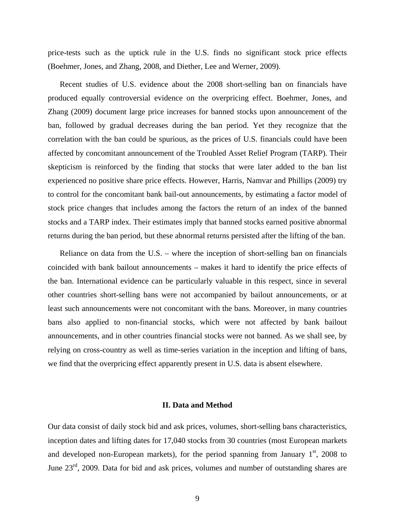price-tests such as the uptick rule in the U.S. finds no significant stock price effects (Boehmer, Jones, and Zhang, 2008, and Diether, Lee and Werner, 2009).

Recent studies of U.S. evidence about the 2008 short-selling ban on financials have produced equally controversial evidence on the overpricing effect. Boehmer, Jones, and Zhang (2009) document large price increases for banned stocks upon announcement of the ban, followed by gradual decreases during the ban period. Yet they recognize that the correlation with the ban could be spurious, as the prices of U.S. financials could have been affected by concomitant announcement of the Troubled Asset Relief Program (TARP). Their skepticism is reinforced by the finding that stocks that were later added to the ban list experienced no positive share price effects. However, Harris, Namvar and Phillips (2009) try to control for the concomitant bank bail-out announcements, by estimating a factor model of stock price changes that includes among the factors the return of an index of the banned stocks and a TARP index. Their estimates imply that banned stocks earned positive abnormal returns during the ban period, but these abnormal returns persisted after the lifting of the ban.

Reliance on data from the U.S. – where the inception of short-selling ban on financials coincided with bank bailout announcements – makes it hard to identify the price effects of the ban. International evidence can be particularly valuable in this respect, since in several other countries short-selling bans were not accompanied by bailout announcements, or at least such announcements were not concomitant with the bans. Moreover, in many countries bans also applied to non-financial stocks, which were not affected by bank bailout announcements, and in other countries financial stocks were not banned. As we shall see, by relying on cross-country as well as time-series variation in the inception and lifting of bans, we find that the overpricing effect apparently present in U.S. data is absent elsewhere.

## **II. Data and Method**

Our data consist of daily stock bid and ask prices, volumes, short-selling bans characteristics, inception dates and lifting dates for 17,040 stocks from 30 countries (most European markets and developed non-European markets), for the period spanning from January  $1<sup>st</sup>$ , 2008 to June 23<sup>rd</sup>, 2009. Data for bid and ask prices, volumes and number of outstanding shares are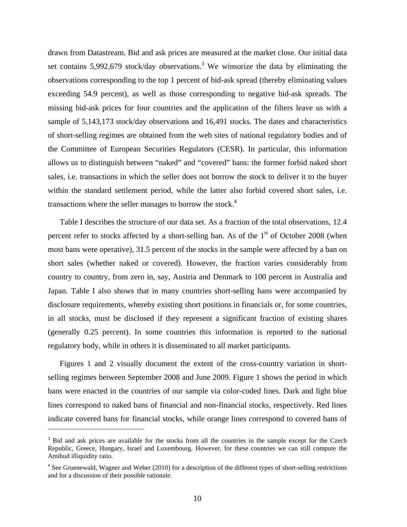drawn from Datastream. Bid and ask prices are measured at the market close. Our initial data set contains 5,992,679 stock/day observations.<sup>3</sup> We winsorize the data by eliminating the observations corresponding to the top 1 percent of bid-ask spread (thereby eliminating values exceeding 54.9 percent), as well as those corresponding to negative bid-ask spreads. The missing bid-ask prices for four countries and the application of the filters leave us with a sample of 5,143,173 stock/day observations and 16,491 stocks. The dates and characteristics of short-selling regimes are obtained from the web sites of national regulatory bodies and of the Committee of European Securities Regulators (CESR). In particular, this information allows us to distinguish between "naked" and "covered" bans: the former forbid naked short sales, i.e. transactions in which the seller does not borrow the stock to deliver it to the buyer within the standard settlement period, while the latter also forbid covered short sales, i.e. transactions where the seller manages to borrow the stock.4

Table I describes the structure of our data set. As a fraction of the total observations, 12.4 percent refer to stocks affected by a short-selling ban. As of the  $1<sup>st</sup>$  of October 2008 (when most bans were operative), 31.5 percent of the stocks in the sample were affected by a ban on short sales (whether naked or covered). However, the fraction varies considerably from country to country, from zero in, say, Austria and Denmark to 100 percent in Australia and Japan. Table I also shows that in many countries short-selling bans were accompanied by disclosure requirements, whereby existing short positions in financials or, for some countries, in all stocks, must be disclosed if they represent a significant fraction of existing shares (generally 0.25 percent). In some countries this information is reported to the national regulatory body, while in others it is disseminated to all market participants.

Figures 1 and 2 visually document the extent of the cross-country variation in shortselling regimes between September 2008 and June 2009. Figure 1 shows the period in which bans were enacted in the countries of our sample via color-coded lines. Dark and light blue lines correspond to naked bans of financial and non-financial stocks, respectively. Red lines indicate covered bans for financial stocks, while orange lines correspond to covered bans of

 $\overline{a}$ 

<sup>&</sup>lt;sup>3</sup> Bid and ask prices are available for the stocks from all the countries in the sample except for the Czech Republic, Greece, Hungary, Israel and Luxembourg. However, for these countries we can still compute the Amihud illiquidity ratio.

<sup>&</sup>lt;sup>4</sup> See Gruenewald, Wagner and Weber (2010) for a description of the different types of short-selling restrictions and for a discussion of their possible rationale.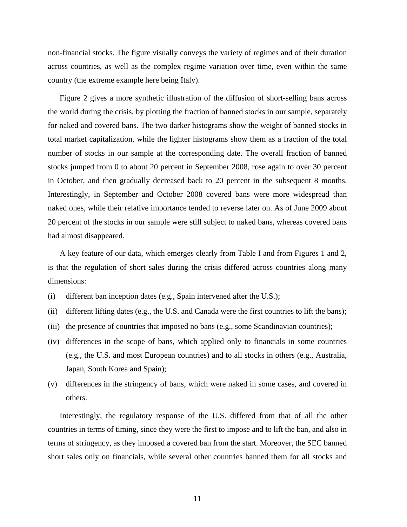non-financial stocks. The figure visually conveys the variety of regimes and of their duration across countries, as well as the complex regime variation over time, even within the same country (the extreme example here being Italy).

Figure 2 gives a more synthetic illustration of the diffusion of short-selling bans across the world during the crisis, by plotting the fraction of banned stocks in our sample, separately for naked and covered bans. The two darker histograms show the weight of banned stocks in total market capitalization, while the lighter histograms show them as a fraction of the total number of stocks in our sample at the corresponding date. The overall fraction of banned stocks jumped from 0 to about 20 percent in September 2008, rose again to over 30 percent in October, and then gradually decreased back to 20 percent in the subsequent 8 months. Interestingly, in September and October 2008 covered bans were more widespread than naked ones, while their relative importance tended to reverse later on. As of June 2009 about 20 percent of the stocks in our sample were still subject to naked bans, whereas covered bans had almost disappeared.

A key feature of our data, which emerges clearly from Table I and from Figures 1 and 2, is that the regulation of short sales during the crisis differed across countries along many dimensions:

- (i) different ban inception dates (e.g., Spain intervened after the U.S.);
- (ii) different lifting dates (e.g., the U.S. and Canada were the first countries to lift the bans);
- (iii) the presence of countries that imposed no bans (e.g., some Scandinavian countries);
- (iv) differences in the scope of bans, which applied only to financials in some countries (e.g., the U.S. and most European countries) and to all stocks in others (e.g., Australia, Japan, South Korea and Spain);
- (v) differences in the stringency of bans, which were naked in some cases, and covered in others.

Interestingly, the regulatory response of the U.S. differed from that of all the other countries in terms of timing, since they were the first to impose and to lift the ban, and also in terms of stringency, as they imposed a covered ban from the start. Moreover, the SEC banned short sales only on financials, while several other countries banned them for all stocks and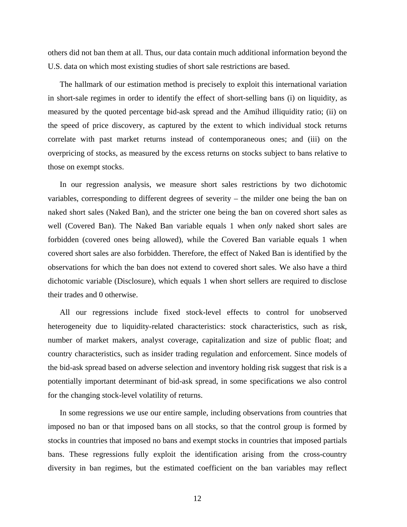others did not ban them at all. Thus, our data contain much additional information beyond the U.S. data on which most existing studies of short sale restrictions are based.

The hallmark of our estimation method is precisely to exploit this international variation in short-sale regimes in order to identify the effect of short-selling bans (i) on liquidity, as measured by the quoted percentage bid-ask spread and the Amihud illiquidity ratio; (ii) on the speed of price discovery, as captured by the extent to which individual stock returns correlate with past market returns instead of contemporaneous ones; and (iii) on the overpricing of stocks, as measured by the excess returns on stocks subject to bans relative to those on exempt stocks.

In our regression analysis, we measure short sales restrictions by two dichotomic variables, corresponding to different degrees of severity – the milder one being the ban on naked short sales (Naked Ban), and the stricter one being the ban on covered short sales as well (Covered Ban). The Naked Ban variable equals 1 when *only* naked short sales are forbidden (covered ones being allowed), while the Covered Ban variable equals 1 when covered short sales are also forbidden. Therefore, the effect of Naked Ban is identified by the observations for which the ban does not extend to covered short sales. We also have a third dichotomic variable (Disclosure), which equals 1 when short sellers are required to disclose their trades and 0 otherwise.

All our regressions include fixed stock-level effects to control for unobserved heterogeneity due to liquidity-related characteristics: stock characteristics, such as risk, number of market makers, analyst coverage, capitalization and size of public float; and country characteristics, such as insider trading regulation and enforcement. Since models of the bid-ask spread based on adverse selection and inventory holding risk suggest that risk is a potentially important determinant of bid-ask spread, in some specifications we also control for the changing stock-level volatility of returns.

In some regressions we use our entire sample, including observations from countries that imposed no ban or that imposed bans on all stocks, so that the control group is formed by stocks in countries that imposed no bans and exempt stocks in countries that imposed partials bans. These regressions fully exploit the identification arising from the cross-country diversity in ban regimes, but the estimated coefficient on the ban variables may reflect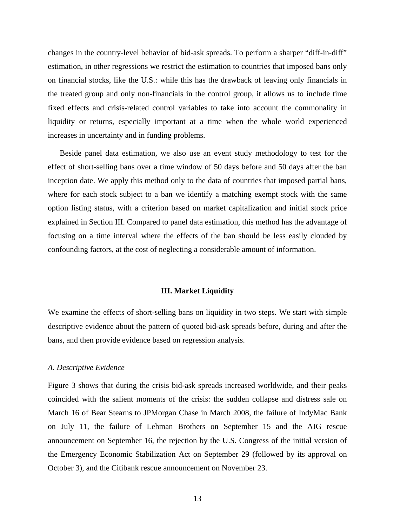changes in the country-level behavior of bid-ask spreads. To perform a sharper "diff-in-diff" estimation, in other regressions we restrict the estimation to countries that imposed bans only on financial stocks, like the U.S.: while this has the drawback of leaving only financials in the treated group and only non-financials in the control group, it allows us to include time fixed effects and crisis-related control variables to take into account the commonality in liquidity or returns, especially important at a time when the whole world experienced increases in uncertainty and in funding problems.

Beside panel data estimation, we also use an event study methodology to test for the effect of short-selling bans over a time window of 50 days before and 50 days after the ban inception date. We apply this method only to the data of countries that imposed partial bans, where for each stock subject to a ban we identify a matching exempt stock with the same option listing status, with a criterion based on market capitalization and initial stock price explained in Section III. Compared to panel data estimation, this method has the advantage of focusing on a time interval where the effects of the ban should be less easily clouded by confounding factors, at the cost of neglecting a considerable amount of information.

#### **III. Market Liquidity**

We examine the effects of short-selling bans on liquidity in two steps. We start with simple descriptive evidence about the pattern of quoted bid-ask spreads before, during and after the bans, and then provide evidence based on regression analysis.

#### *A. Descriptive Evidence*

Figure 3 shows that during the crisis bid-ask spreads increased worldwide, and their peaks coincided with the salient moments of the crisis: the sudden collapse and distress sale on March 16 of Bear Stearns to JPMorgan Chase in March 2008, the failure of IndyMac Bank on July 11, the failure of Lehman Brothers on September 15 and the AIG rescue announcement on September 16, the rejection by the U.S. Congress of the initial version of the Emergency Economic Stabilization Act on September 29 (followed by its approval on October 3), and the Citibank rescue announcement on November 23.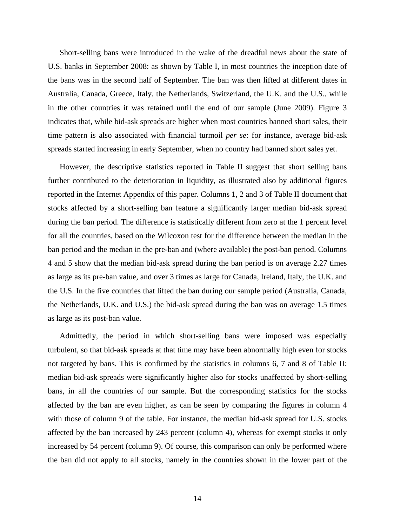Short-selling bans were introduced in the wake of the dreadful news about the state of U.S. banks in September 2008: as shown by Table I, in most countries the inception date of the bans was in the second half of September. The ban was then lifted at different dates in Australia, Canada, Greece, Italy, the Netherlands, Switzerland, the U.K. and the U.S., while in the other countries it was retained until the end of our sample (June 2009). Figure 3 indicates that, while bid-ask spreads are higher when most countries banned short sales, their time pattern is also associated with financial turmoil *per se*: for instance, average bid-ask spreads started increasing in early September, when no country had banned short sales yet.

However, the descriptive statistics reported in Table II suggest that short selling bans further contributed to the deterioration in liquidity, as illustrated also by additional figures reported in the Internet Appendix of this paper. Columns 1, 2 and 3 of Table II document that stocks affected by a short-selling ban feature a significantly larger median bid-ask spread during the ban period. The difference is statistically different from zero at the 1 percent level for all the countries, based on the Wilcoxon test for the difference between the median in the ban period and the median in the pre-ban and (where available) the post-ban period. Columns 4 and 5 show that the median bid-ask spread during the ban period is on average 2.27 times as large as its pre-ban value, and over 3 times as large for Canada, Ireland, Italy, the U.K. and the U.S. In the five countries that lifted the ban during our sample period (Australia, Canada, the Netherlands, U.K. and U.S.) the bid-ask spread during the ban was on average 1.5 times as large as its post-ban value.

Admittedly, the period in which short-selling bans were imposed was especially turbulent, so that bid-ask spreads at that time may have been abnormally high even for stocks not targeted by bans. This is confirmed by the statistics in columns 6, 7 and 8 of Table II: median bid-ask spreads were significantly higher also for stocks unaffected by short-selling bans, in all the countries of our sample. But the corresponding statistics for the stocks affected by the ban are even higher, as can be seen by comparing the figures in column 4 with those of column 9 of the table. For instance, the median bid-ask spread for U.S. stocks affected by the ban increased by 243 percent (column 4), whereas for exempt stocks it only increased by 54 percent (column 9). Of course, this comparison can only be performed where the ban did not apply to all stocks, namely in the countries shown in the lower part of the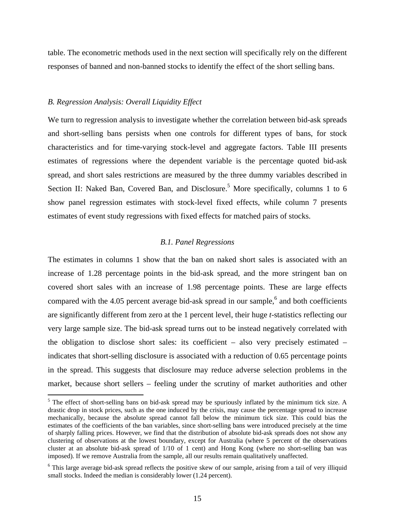table. The econometric methods used in the next section will specifically rely on the different responses of banned and non-banned stocks to identify the effect of the short selling bans.

# *B. Regression Analysis: Overall Liquidity Effect*

1

We turn to regression analysis to investigate whether the correlation between bid-ask spreads and short-selling bans persists when one controls for different types of bans, for stock characteristics and for time-varying stock-level and aggregate factors. Table III presents estimates of regressions where the dependent variable is the percentage quoted bid-ask spread, and short sales restrictions are measured by the three dummy variables described in Section II: Naked Ban, Covered Ban, and Disclosure.<sup>5</sup> More specifically, columns 1 to 6 show panel regression estimates with stock-level fixed effects, while column 7 presents estimates of event study regressions with fixed effects for matched pairs of stocks.

## *B.1. Panel Regressions*

The estimates in columns 1 show that the ban on naked short sales is associated with an increase of 1.28 percentage points in the bid-ask spread, and the more stringent ban on covered short sales with an increase of 1.98 percentage points. These are large effects compared with the 4.05 percent average bid-ask spread in our sample,  $6$  and both coefficients are significantly different from zero at the 1 percent level, their huge *t*-statistics reflecting our very large sample size. The bid-ask spread turns out to be instead negatively correlated with the obligation to disclose short sales: its coefficient – also very precisely estimated – indicates that short-selling disclosure is associated with a reduction of 0.65 percentage points in the spread. This suggests that disclosure may reduce adverse selection problems in the market, because short sellers – feeling under the scrutiny of market authorities and other

 $<sup>5</sup>$  The effect of short-selling bans on bid-ask spread may be spuriously inflated by the minimum tick size. A</sup> drastic drop in stock prices, such as the one induced by the crisis, may cause the percentage spread to increase mechanically, because the absolute spread cannot fall below the minimum tick size. This could bias the estimates of the coefficients of the ban variables, since short-selling bans were introduced precisely at the time of sharply falling prices. However, we find that the distribution of absolute bid-ask spreads does not show any clustering of observations at the lowest boundary, except for Australia (where 5 percent of the observations cluster at an absolute bid-ask spread of 1/10 of 1 cent) and Hong Kong (where no short-selling ban was imposed). If we remove Australia from the sample, all our results remain qualitatively unaffected.

<sup>&</sup>lt;sup>6</sup> This large average bid-ask spread reflects the positive skew of our sample, arising from a tail of very illiquid small stocks. Indeed the median is considerably lower (1.24 percent).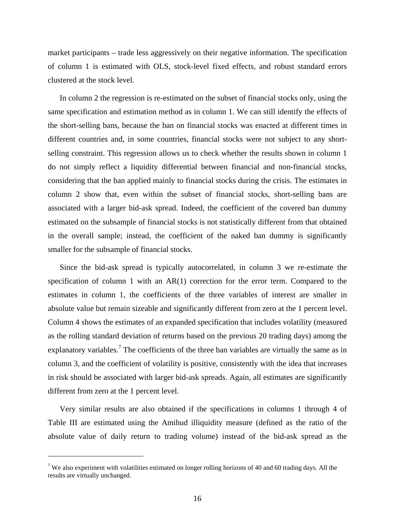market participants – trade less aggressively on their negative information. The specification of column 1 is estimated with OLS, stock-level fixed effects, and robust standard errors clustered at the stock level.

In column 2 the regression is re-estimated on the subset of financial stocks only, using the same specification and estimation method as in column 1. We can still identify the effects of the short-selling bans, because the ban on financial stocks was enacted at different times in different countries and, in some countries, financial stocks were not subject to any shortselling constraint. This regression allows us to check whether the results shown in column 1 do not simply reflect a liquidity differential between financial and non-financial stocks, considering that the ban applied mainly to financial stocks during the crisis. The estimates in column 2 show that, even within the subset of financial stocks, short-selling bans are associated with a larger bid-ask spread. Indeed, the coefficient of the covered ban dummy estimated on the subsample of financial stocks is not statistically different from that obtained in the overall sample; instead, the coefficient of the naked ban dummy is significantly smaller for the subsample of financial stocks.

Since the bid-ask spread is typically autocorrelated, in column 3 we re-estimate the specification of column 1 with an  $AR(1)$  correction for the error term. Compared to the estimates in column 1, the coefficients of the three variables of interest are smaller in absolute value but remain sizeable and significantly different from zero at the 1 percent level. Column 4 shows the estimates of an expanded specification that includes volatility (measured as the rolling standard deviation of returns based on the previous 20 trading days) among the explanatory variables.<sup>7</sup> The coefficients of the three ban variables are virtually the same as in column 3, and the coefficient of volatility is positive, consistently with the idea that increases in risk should be associated with larger bid-ask spreads. Again, all estimates are significantly different from zero at the 1 percent level.

Very similar results are also obtained if the specifications in columns 1 through 4 of Table III are estimated using the Amihud illiquidity measure (defined as the ratio of the absolute value of daily return to trading volume) instead of the bid-ask spread as the

1

<sup>&</sup>lt;sup>7</sup> We also experiment with volatilities estimated on longer rolling horizons of 40 and 60 trading days. All the results are virtually unchanged.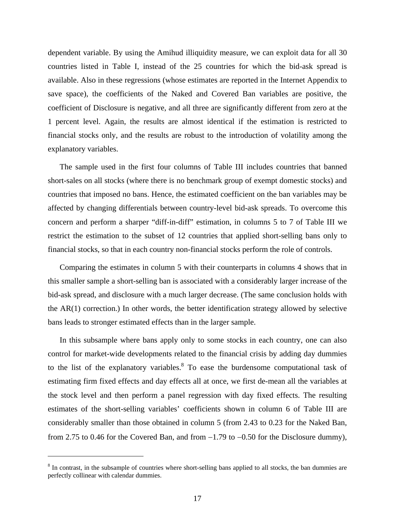dependent variable. By using the Amihud illiquidity measure, we can exploit data for all 30 countries listed in Table I, instead of the 25 countries for which the bid-ask spread is available. Also in these regressions (whose estimates are reported in the Internet Appendix to save space), the coefficients of the Naked and Covered Ban variables are positive, the coefficient of Disclosure is negative, and all three are significantly different from zero at the 1 percent level. Again, the results are almost identical if the estimation is restricted to financial stocks only, and the results are robust to the introduction of volatility among the explanatory variables.

The sample used in the first four columns of Table III includes countries that banned short-sales on all stocks (where there is no benchmark group of exempt domestic stocks) and countries that imposed no bans. Hence, the estimated coefficient on the ban variables may be affected by changing differentials between country-level bid-ask spreads. To overcome this concern and perform a sharper "diff-in-diff" estimation, in columns 5 to 7 of Table III we restrict the estimation to the subset of 12 countries that applied short-selling bans only to financial stocks, so that in each country non-financial stocks perform the role of controls.

Comparing the estimates in column 5 with their counterparts in columns 4 shows that in this smaller sample a short-selling ban is associated with a considerably larger increase of the bid-ask spread, and disclosure with a much larger decrease. (The same conclusion holds with the AR(1) correction.) In other words, the better identification strategy allowed by selective bans leads to stronger estimated effects than in the larger sample.

In this subsample where bans apply only to some stocks in each country, one can also control for market-wide developments related to the financial crisis by adding day dummies to the list of the explanatory variables. $8\degree$  To ease the burdensome computational task of estimating firm fixed effects and day effects all at once, we first de-mean all the variables at the stock level and then perform a panel regression with day fixed effects. The resulting estimates of the short-selling variables' coefficients shown in column 6 of Table III are considerably smaller than those obtained in column 5 (from 2.43 to 0.23 for the Naked Ban, from 2.75 to 0.46 for the Covered Ban, and from −1.79 to −0.50 for the Disclosure dummy),

 $\overline{a}$ 

 $8$  In contrast, in the subsample of countries where short-selling bans applied to all stocks, the ban dummies are perfectly collinear with calendar dummies.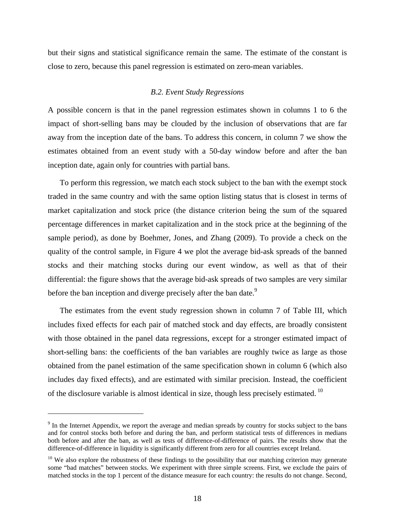but their signs and statistical significance remain the same. The estimate of the constant is close to zero, because this panel regression is estimated on zero-mean variables.

## *B.2. Event Study Regressions*

A possible concern is that in the panel regression estimates shown in columns 1 to 6 the impact of short-selling bans may be clouded by the inclusion of observations that are far away from the inception date of the bans. To address this concern, in column 7 we show the estimates obtained from an event study with a 50-day window before and after the ban inception date, again only for countries with partial bans.

To perform this regression, we match each stock subject to the ban with the exempt stock traded in the same country and with the same option listing status that is closest in terms of market capitalization and stock price (the distance criterion being the sum of the squared percentage differences in market capitalization and in the stock price at the beginning of the sample period), as done by Boehmer, Jones, and Zhang (2009). To provide a check on the quality of the control sample, in Figure 4 we plot the average bid-ask spreads of the banned stocks and their matching stocks during our event window, as well as that of their differential: the figure shows that the average bid-ask spreads of two samples are very similar before the ban inception and diverge precisely after the ban date.<sup>9</sup>

The estimates from the event study regression shown in column 7 of Table III, which includes fixed effects for each pair of matched stock and day effects, are broadly consistent with those obtained in the panel data regressions, except for a stronger estimated impact of short-selling bans: the coefficients of the ban variables are roughly twice as large as those obtained from the panel estimation of the same specification shown in column 6 (which also includes day fixed effects), and are estimated with similar precision. Instead, the coefficient of the disclosure variable is almost identical in size, though less precisely estimated.<sup>10</sup>

<u>.</u>

 $9<sup>9</sup>$  In the Internet Appendix, we report the average and median spreads by country for stocks subject to the bans and for control stocks both before and during the ban, and perform statistical tests of differences in medians both before and after the ban, as well as tests of difference-of-difference of pairs. The results show that the difference-of-difference in liquidity is significantly different from zero for all countries except Ireland.

 $10$  We also explore the robustness of these findings to the possibility that our matching criterion may generate some "bad matches" between stocks. We experiment with three simple screens. First, we exclude the pairs of matched stocks in the top 1 percent of the distance measure for each country: the results do not change. Second,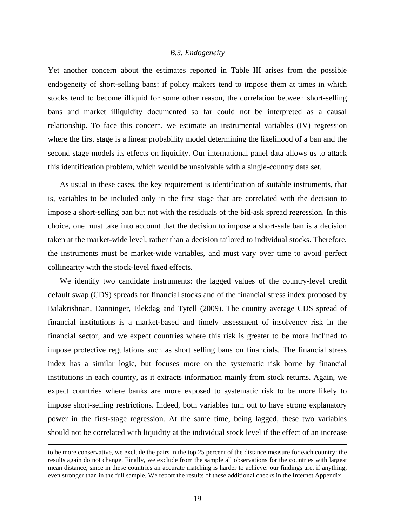## *B.3. Endogeneity*

Yet another concern about the estimates reported in Table III arises from the possible endogeneity of short-selling bans: if policy makers tend to impose them at times in which stocks tend to become illiquid for some other reason, the correlation between short-selling bans and market illiquidity documented so far could not be interpreted as a causal relationship. To face this concern, we estimate an instrumental variables (IV) regression where the first stage is a linear probability model determining the likelihood of a ban and the second stage models its effects on liquidity. Our international panel data allows us to attack this identification problem, which would be unsolvable with a single-country data set.

As usual in these cases, the key requirement is identification of suitable instruments, that is, variables to be included only in the first stage that are correlated with the decision to impose a short-selling ban but not with the residuals of the bid-ask spread regression. In this choice, one must take into account that the decision to impose a short-sale ban is a decision taken at the market-wide level, rather than a decision tailored to individual stocks. Therefore, the instruments must be market-wide variables, and must vary over time to avoid perfect collinearity with the stock-level fixed effects.

We identify two candidate instruments: the lagged values of the country-level credit default swap (CDS) spreads for financial stocks and of the financial stress index proposed by Balakrishnan, Danninger, Elekdag and Tytell (2009). The country average CDS spread of financial institutions is a market-based and timely assessment of insolvency risk in the financial sector, and we expect countries where this risk is greater to be more inclined to impose protective regulations such as short selling bans on financials. The financial stress index has a similar logic, but focuses more on the systematic risk borne by financial institutions in each country, as it extracts information mainly from stock returns. Again, we expect countries where banks are more exposed to systematic risk to be more likely to impose short-selling restrictions. Indeed, both variables turn out to have strong explanatory power in the first-stage regression. At the same time, being lagged, these two variables should not be correlated with liquidity at the individual stock level if the effect of an increase

to be more conservative, we exclude the pairs in the top 25 percent of the distance measure for each country: the results again do not change. Finally, we exclude from the sample all observations for the countries with largest mean distance, since in these countries an accurate matching is harder to achieve: our findings are, if anything, even stronger than in the full sample. We report the results of these additional checks in the Internet Appendix.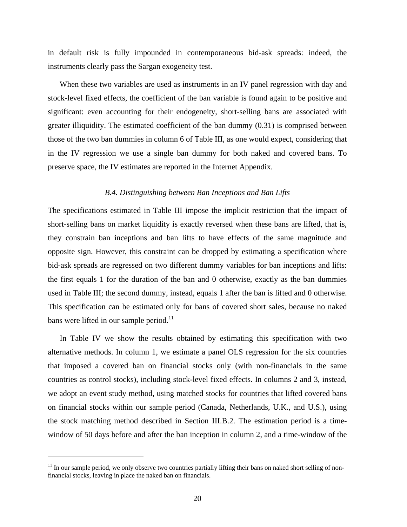in default risk is fully impounded in contemporaneous bid-ask spreads: indeed, the instruments clearly pass the Sargan exogeneity test.

When these two variables are used as instruments in an IV panel regression with day and stock-level fixed effects, the coefficient of the ban variable is found again to be positive and significant: even accounting for their endogeneity, short-selling bans are associated with greater illiquidity. The estimated coefficient of the ban dummy (0.31) is comprised between those of the two ban dummies in column 6 of Table III, as one would expect, considering that in the IV regression we use a single ban dummy for both naked and covered bans. To preserve space, the IV estimates are reported in the Internet Appendix.

#### *B.4. Distinguishing between Ban Inceptions and Ban Lifts*

The specifications estimated in Table III impose the implicit restriction that the impact of short-selling bans on market liquidity is exactly reversed when these bans are lifted, that is, they constrain ban inceptions and ban lifts to have effects of the same magnitude and opposite sign. However, this constraint can be dropped by estimating a specification where bid-ask spreads are regressed on two different dummy variables for ban inceptions and lifts: the first equals 1 for the duration of the ban and 0 otherwise, exactly as the ban dummies used in Table III; the second dummy, instead, equals 1 after the ban is lifted and 0 otherwise. This specification can be estimated only for bans of covered short sales, because no naked bans were lifted in our sample period. $^{11}$ 

In Table IV we show the results obtained by estimating this specification with two alternative methods. In column 1, we estimate a panel OLS regression for the six countries that imposed a covered ban on financial stocks only (with non-financials in the same countries as control stocks), including stock-level fixed effects. In columns 2 and 3, instead, we adopt an event study method, using matched stocks for countries that lifted covered bans on financial stocks within our sample period (Canada, Netherlands, U.K., and U.S.), using the stock matching method described in Section III.B.2. The estimation period is a timewindow of 50 days before and after the ban inception in column 2, and a time-window of the

1

 $11$  In our sample period, we only observe two countries partially lifting their bans on naked short selling of nonfinancial stocks, leaving in place the naked ban on financials.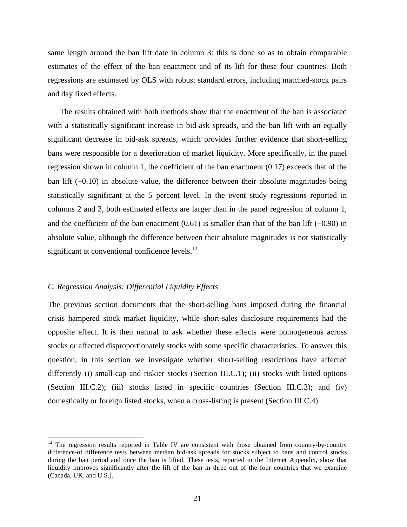same length around the ban lift date in column 3: this is done so as to obtain comparable estimates of the effect of the ban enactment and of its lift for these four countries. Both regressions are estimated by OLS with robust standard errors, including matched-stock pairs and day fixed effects.

The results obtained with both methods show that the enactment of the ban is associated with a statistically significant increase in bid-ask spreads, and the ban lift with an equally significant decrease in bid-ask spreads, which provides further evidence that short-selling bans were responsible for a deterioration of market liquidity. More specifically, in the panel regression shown in column 1, the coefficient of the ban enactment (0.17) exceeds that of the ban lift (−0.10) in absolute value, the difference between their absolute magnitudes being statistically significant at the 5 percent level. In the event study regressions reported in columns 2 and 3, both estimated effects are larger than in the panel regression of column 1, and the coefficient of the ban enactment  $(0.61)$  is smaller than that of the ban lift  $(-0.90)$  in absolute value, although the difference between their absolute magnitudes is not statistically significant at conventional confidence levels.<sup>12</sup>

## *C. Regression Analysis: Differential Liquidity Effects*

 $\overline{a}$ 

The previous section documents that the short-selling bans imposed during the financial crisis hampered stock market liquidity, while short-sales disclosure requirements had the opposite effect. It is then natural to ask whether these effects were homogeneous across stocks or affected disproportionately stocks with some specific characteristics. To answer this question, in this section we investigate whether short-selling restrictions have affected differently (i) small-cap and riskier stocks (Section III.C.1); (ii) stocks with listed options (Section III.C.2); (iii) stocks listed in specific countries (Section III.C.3); and (iv) domestically or foreign listed stocks, when a cross-listing is present (Section III.C.4).

 $12$  The regression results reported in Table IV are consistent with those obtained from country-by-country difference-of difference tests between median bid-ask spreads for stocks subject to bans and control stocks during the ban period and once the ban is lifted. These tests, reported in the Internet Appendix, show that liquidity improves significantly after the lift of the ban in three out of the four countries that we examine (Canada, UK. and U.S.).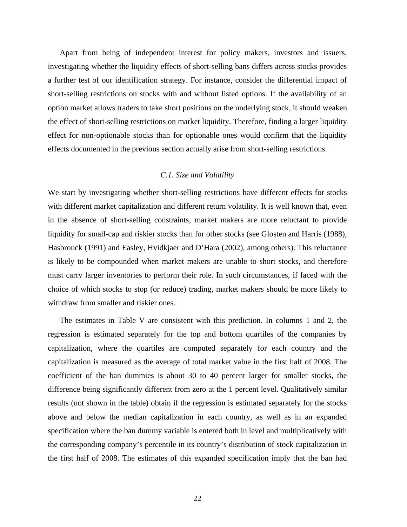Apart from being of independent interest for policy makers, investors and issuers, investigating whether the liquidity effects of short-selling bans differs across stocks provides a further test of our identification strategy. For instance, consider the differential impact of short-selling restrictions on stocks with and without listed options. If the availability of an option market allows traders to take short positions on the underlying stock, it should weaken the effect of short-selling restrictions on market liquidity. Therefore, finding a larger liquidity effect for non-optionable stocks than for optionable ones would confirm that the liquidity effects documented in the previous section actually arise from short-selling restrictions.

# *C.1. Size and Volatility*

We start by investigating whether short-selling restrictions have different effects for stocks with different market capitalization and different return volatility. It is well known that, even in the absence of short-selling constraints, market makers are more reluctant to provide liquidity for small-cap and riskier stocks than for other stocks (see Glosten and Harris (1988), Hasbrouck (1991) and Easley, Hvidkjaer and O'Hara (2002), among others). This reluctance is likely to be compounded when market makers are unable to short stocks, and therefore must carry larger inventories to perform their role. In such circumstances, if faced with the choice of which stocks to stop (or reduce) trading, market makers should be more likely to withdraw from smaller and riskier ones.

The estimates in Table V are consistent with this prediction. In columns 1 and 2, the regression is estimated separately for the top and bottom quartiles of the companies by capitalization, where the quartiles are computed separately for each country and the capitalization is measured as the average of total market value in the first half of 2008. The coefficient of the ban dummies is about 30 to 40 percent larger for smaller stocks, the difference being significantly different from zero at the 1 percent level. Qualitatively similar results (not shown in the table) obtain if the regression is estimated separately for the stocks above and below the median capitalization in each country, as well as in an expanded specification where the ban dummy variable is entered both in level and multiplicatively with the corresponding company's percentile in its country's distribution of stock capitalization in the first half of 2008. The estimates of this expanded specification imply that the ban had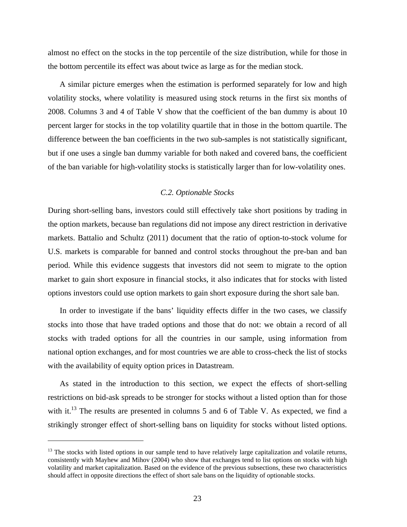almost no effect on the stocks in the top percentile of the size distribution, while for those in the bottom percentile its effect was about twice as large as for the median stock.

A similar picture emerges when the estimation is performed separately for low and high volatility stocks, where volatility is measured using stock returns in the first six months of 2008. Columns 3 and 4 of Table V show that the coefficient of the ban dummy is about 10 percent larger for stocks in the top volatility quartile that in those in the bottom quartile. The difference between the ban coefficients in the two sub-samples is not statistically significant, but if one uses a single ban dummy variable for both naked and covered bans, the coefficient of the ban variable for high-volatility stocks is statistically larger than for low-volatility ones.

## *C.2. Optionable Stocks*

During short-selling bans, investors could still effectively take short positions by trading in the option markets, because ban regulations did not impose any direct restriction in derivative markets. Battalio and Schultz (2011) document that the ratio of option-to-stock volume for U.S. markets is comparable for banned and control stocks throughout the pre-ban and ban period. While this evidence suggests that investors did not seem to migrate to the option market to gain short exposure in financial stocks, it also indicates that for stocks with listed options investors could use option markets to gain short exposure during the short sale ban.

In order to investigate if the bans' liquidity effects differ in the two cases, we classify stocks into those that have traded options and those that do not: we obtain a record of all stocks with traded options for all the countries in our sample, using information from national option exchanges, and for most countries we are able to cross-check the list of stocks with the availability of equity option prices in Datastream.

As stated in the introduction to this section, we expect the effects of short-selling restrictions on bid-ask spreads to be stronger for stocks without a listed option than for those with it.<sup>13</sup> The results are presented in columns 5 and 6 of Table V. As expected, we find a strikingly stronger effect of short-selling bans on liquidity for stocks without listed options.

<u>.</u>

 $13$  The stocks with listed options in our sample tend to have relatively large capitalization and volatile returns, consistently with Mayhew and Mihov (2004) who show that exchanges tend to list options on stocks with high volatility and market capitalization. Based on the evidence of the previous subsections, these two characteristics should affect in opposite directions the effect of short sale bans on the liquidity of optionable stocks.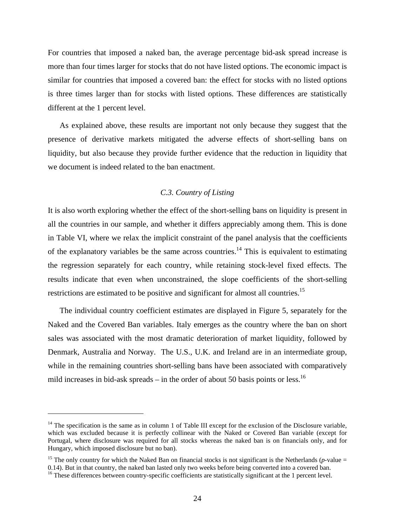For countries that imposed a naked ban, the average percentage bid-ask spread increase is more than four times larger for stocks that do not have listed options. The economic impact is similar for countries that imposed a covered ban: the effect for stocks with no listed options is three times larger than for stocks with listed options. These differences are statistically different at the 1 percent level.

As explained above, these results are important not only because they suggest that the presence of derivative markets mitigated the adverse effects of short-selling bans on liquidity, but also because they provide further evidence that the reduction in liquidity that we document is indeed related to the ban enactment.

# *C.3. Country of Listing*

It is also worth exploring whether the effect of the short-selling bans on liquidity is present in all the countries in our sample, and whether it differs appreciably among them. This is done in Table VI, where we relax the implicit constraint of the panel analysis that the coefficients of the explanatory variables be the same across countries.<sup>14</sup> This is equivalent to estimating the regression separately for each country, while retaining stock-level fixed effects. The results indicate that even when unconstrained, the slope coefficients of the short-selling restrictions are estimated to be positive and significant for almost all countries.<sup>15</sup>

The individual country coefficient estimates are displayed in Figure 5, separately for the Naked and the Covered Ban variables. Italy emerges as the country where the ban on short sales was associated with the most dramatic deterioration of market liquidity, followed by Denmark, Australia and Norway. The U.S., U.K. and Ireland are in an intermediate group, while in the remaining countries short-selling bans have been associated with comparatively mild increases in bid-ask spreads – in the order of about 50 basis points or less.<sup>16</sup>

 $\overline{a}$ 

 $14$  The specification is the same as in column 1 of Table III except for the exclusion of the Disclosure variable, which was excluded because it is perfectly collinear with the Naked or Covered Ban variable (except for Portugal, where disclosure was required for all stocks whereas the naked ban is on financials only, and for Hungary, which imposed disclosure but no ban).

<sup>&</sup>lt;sup>15</sup> The only country for which the Naked Ban on financial stocks is not significant is the Netherlands ( $p$ -value = 0.14). But in that country, the naked ban lasted only two weeks before being converted into a covered ban.

<sup>&</sup>lt;sup>16</sup> These differences between country-specific coefficients are statistically significant at the 1 percent level.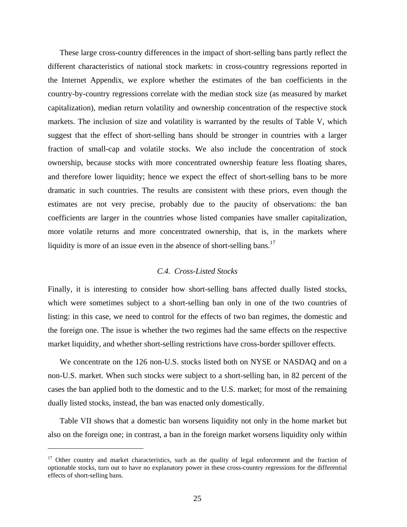These large cross-country differences in the impact of short-selling bans partly reflect the different characteristics of national stock markets: in cross-country regressions reported in the Internet Appendix, we explore whether the estimates of the ban coefficients in the country-by-country regressions correlate with the median stock size (as measured by market capitalization), median return volatility and ownership concentration of the respective stock markets. The inclusion of size and volatility is warranted by the results of Table V, which suggest that the effect of short-selling bans should be stronger in countries with a larger fraction of small-cap and volatile stocks. We also include the concentration of stock ownership, because stocks with more concentrated ownership feature less floating shares, and therefore lower liquidity; hence we expect the effect of short-selling bans to be more dramatic in such countries. The results are consistent with these priors, even though the estimates are not very precise, probably due to the paucity of observations: the ban coefficients are larger in the countries whose listed companies have smaller capitalization, more volatile returns and more concentrated ownership, that is, in the markets where liquidity is more of an issue even in the absence of short-selling bans.<sup>17</sup>

# *C.4. Cross-Listed Stocks*

Finally, it is interesting to consider how short-selling bans affected dually listed stocks, which were sometimes subject to a short-selling ban only in one of the two countries of listing: in this case, we need to control for the effects of two ban regimes, the domestic and the foreign one. The issue is whether the two regimes had the same effects on the respective market liquidity, and whether short-selling restrictions have cross-border spillover effects.

We concentrate on the 126 non-U.S. stocks listed both on NYSE or NASDAQ and on a non-U.S. market. When such stocks were subject to a short-selling ban, in 82 percent of the cases the ban applied both to the domestic and to the U.S. market; for most of the remaining dually listed stocks, instead, the ban was enacted only domestically.

Table VII shows that a domestic ban worsens liquidity not only in the home market but also on the foreign one; in contrast, a ban in the foreign market worsens liquidity only within

 $\overline{a}$ 

<sup>&</sup>lt;sup>17</sup> Other country and market characteristics, such as the quality of legal enforcement and the fraction of optionable stocks, turn out to have no explanatory power in these cross-country regressions for the differential effects of short-selling bans.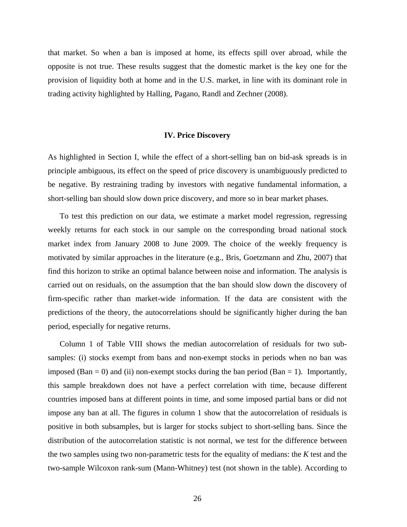that market. So when a ban is imposed at home, its effects spill over abroad, while the opposite is not true. These results suggest that the domestic market is the key one for the provision of liquidity both at home and in the U.S. market, in line with its dominant role in trading activity highlighted by Halling, Pagano, Randl and Zechner (2008).

## **IV. Price Discovery**

As highlighted in Section I, while the effect of a short-selling ban on bid-ask spreads is in principle ambiguous, its effect on the speed of price discovery is unambiguously predicted to be negative. By restraining trading by investors with negative fundamental information, a short-selling ban should slow down price discovery, and more so in bear market phases.

To test this prediction on our data, we estimate a market model regression, regressing weekly returns for each stock in our sample on the corresponding broad national stock market index from January 2008 to June 2009. The choice of the weekly frequency is motivated by similar approaches in the literature (e.g., Bris, Goetzmann and Zhu, 2007) that find this horizon to strike an optimal balance between noise and information. The analysis is carried out on residuals, on the assumption that the ban should slow down the discovery of firm-specific rather than market-wide information. If the data are consistent with the predictions of the theory, the autocorrelations should be significantly higher during the ban period, especially for negative returns.

Column 1 of Table VIII shows the median autocorrelation of residuals for two subsamples: (i) stocks exempt from bans and non-exempt stocks in periods when no ban was imposed (Ban = 0) and (ii) non-exempt stocks during the ban period (Ban = 1). Importantly, this sample breakdown does not have a perfect correlation with time, because different countries imposed bans at different points in time, and some imposed partial bans or did not impose any ban at all. The figures in column 1 show that the autocorrelation of residuals is positive in both subsamples, but is larger for stocks subject to short-selling bans. Since the distribution of the autocorrelation statistic is not normal, we test for the difference between the two samples using two non-parametric tests for the equality of medians: the *K* test and the two-sample Wilcoxon rank-sum (Mann-Whitney) test (not shown in the table). According to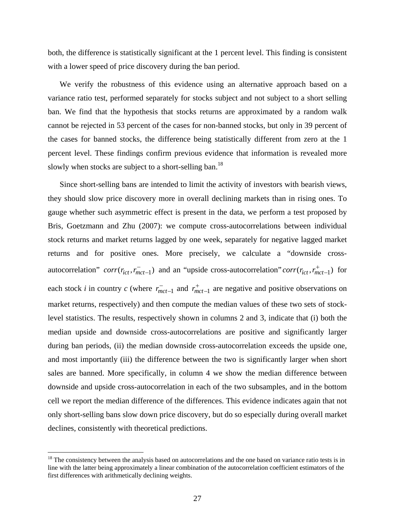both, the difference is statistically significant at the 1 percent level. This finding is consistent with a lower speed of price discovery during the ban period.

We verify the robustness of this evidence using an alternative approach based on a variance ratio test, performed separately for stocks subject and not subject to a short selling ban. We find that the hypothesis that stocks returns are approximated by a random walk cannot be rejected in 53 percent of the cases for non-banned stocks, but only in 39 percent of the cases for banned stocks, the difference being statistically different from zero at the 1 percent level. These findings confirm previous evidence that information is revealed more slowly when stocks are subject to a short-selling ban.<sup>18</sup>

Since short-selling bans are intended to limit the activity of investors with bearish views, they should slow price discovery more in overall declining markets than in rising ones. To gauge whether such asymmetric effect is present in the data, we perform a test proposed by Bris, Goetzmann and Zhu (2007): we compute cross-autocorrelations between individual stock returns and market returns lagged by one week, separately for negative lagged market returns and for positive ones. More precisely, we calculate a "downside crossautocorrelation"  $corr(r_{ict}, r_{mct-1}^{-})$  and an "upside cross-autocorrelation"  $corr(r_{ict}, r_{mct-1}^{+})$  for each stock *i* in country *c* (where  $r_{mct-1}^-$  and  $r_{mct-1}^+$  are negative and positive observations on market returns, respectively) and then compute the median values of these two sets of stocklevel statistics. The results, respectively shown in columns 2 and 3, indicate that (i) both the median upside and downside cross-autocorrelations are positive and significantly larger during ban periods, (ii) the median downside cross-autocorrelation exceeds the upside one, and most importantly (iii) the difference between the two is significantly larger when short sales are banned. More specifically, in column 4 we show the median difference between downside and upside cross-autocorrelation in each of the two subsamples, and in the bottom cell we report the median difference of the differences. This evidence indicates again that not only short-selling bans slow down price discovery, but do so especially during overall market declines, consistently with theoretical predictions.

1

<sup>&</sup>lt;sup>18</sup> The consistency between the analysis based on autocorrelations and the one based on variance ratio tests is in line with the latter being approximately a linear combination of the autocorrelation coefficient estimators of the first differences with arithmetically declining weights.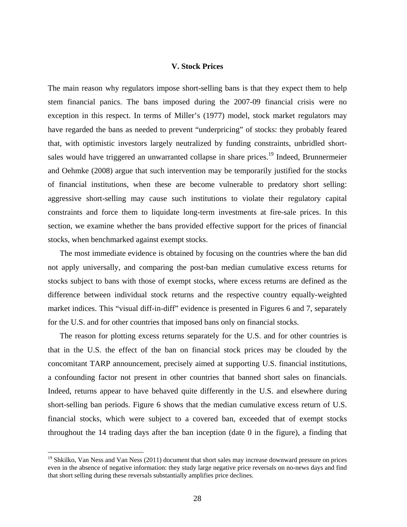# **V. Stock Prices**

The main reason why regulators impose short-selling bans is that they expect them to help stem financial panics. The bans imposed during the 2007-09 financial crisis were no exception in this respect. In terms of Miller's (1977) model, stock market regulators may have regarded the bans as needed to prevent "underpricing" of stocks: they probably feared that, with optimistic investors largely neutralized by funding constraints, unbridled shortsales would have triggered an unwarranted collapse in share prices.<sup>19</sup> Indeed, Brunnermeier and Oehmke (2008) argue that such intervention may be temporarily justified for the stocks of financial institutions, when these are become vulnerable to predatory short selling: aggressive short-selling may cause such institutions to violate their regulatory capital constraints and force them to liquidate long-term investments at fire-sale prices. In this section, we examine whether the bans provided effective support for the prices of financial stocks, when benchmarked against exempt stocks.

The most immediate evidence is obtained by focusing on the countries where the ban did not apply universally, and comparing the post-ban median cumulative excess returns for stocks subject to bans with those of exempt stocks, where excess returns are defined as the difference between individual stock returns and the respective country equally-weighted market indices. This "visual diff-in-diff" evidence is presented in Figures 6 and 7, separately for the U.S. and for other countries that imposed bans only on financial stocks.

The reason for plotting excess returns separately for the U.S. and for other countries is that in the U.S. the effect of the ban on financial stock prices may be clouded by the concomitant TARP announcement, precisely aimed at supporting U.S. financial institutions, a confounding factor not present in other countries that banned short sales on financials. Indeed, returns appear to have behaved quite differently in the U.S. and elsewhere during short-selling ban periods. Figure 6 shows that the median cumulative excess return of U.S. financial stocks, which were subject to a covered ban, exceeded that of exempt stocks throughout the 14 trading days after the ban inception (date 0 in the figure), a finding that

 $\overline{a}$ 

<sup>&</sup>lt;sup>19</sup> Shkilko, Van Ness and Van Ness (2011) document that short sales may increase downward pressure on prices even in the absence of negative information: they study large negative price reversals on no-news days and find that short selling during these reversals substantially amplifies price declines.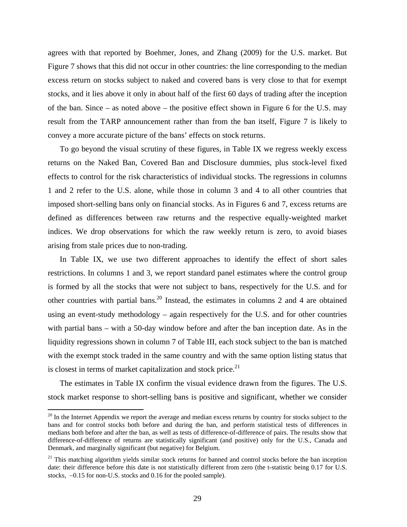agrees with that reported by Boehmer, Jones, and Zhang (2009) for the U.S. market. But Figure 7 shows that this did not occur in other countries: the line corresponding to the median excess return on stocks subject to naked and covered bans is very close to that for exempt stocks, and it lies above it only in about half of the first 60 days of trading after the inception of the ban. Since – as noted above – the positive effect shown in Figure 6 for the U.S. may result from the TARP announcement rather than from the ban itself, Figure 7 is likely to convey a more accurate picture of the bans' effects on stock returns.

To go beyond the visual scrutiny of these figures, in Table IX we regress weekly excess returns on the Naked Ban, Covered Ban and Disclosure dummies, plus stock-level fixed effects to control for the risk characteristics of individual stocks. The regressions in columns 1 and 2 refer to the U.S. alone, while those in column 3 and 4 to all other countries that imposed short-selling bans only on financial stocks. As in Figures 6 and 7, excess returns are defined as differences between raw returns and the respective equally-weighted market indices. We drop observations for which the raw weekly return is zero, to avoid biases arising from stale prices due to non-trading.

In Table IX, we use two different approaches to identify the effect of short sales restrictions. In columns 1 and 3, we report standard panel estimates where the control group is formed by all the stocks that were not subject to bans, respectively for the U.S. and for other countries with partial bans.<sup>20</sup> Instead, the estimates in columns 2 and 4 are obtained using an event-study methodology – again respectively for the U.S. and for other countries with partial bans – with a 50-day window before and after the ban inception date. As in the liquidity regressions shown in column 7 of Table III, each stock subject to the ban is matched with the exempt stock traded in the same country and with the same option listing status that is closest in terms of market capitalization and stock price. $2<sup>1</sup>$ 

The estimates in Table IX confirm the visual evidence drawn from the figures. The U.S. stock market response to short-selling bans is positive and significant, whether we consider

 $\overline{a}$ 

<sup>&</sup>lt;sup>20</sup> In the Internet Appendix we report the average and median excess returns by country for stocks subject to the bans and for control stocks both before and during the ban, and perform statistical tests of differences in medians both before and after the ban, as well as tests of difference-of-difference of pairs. The results show that difference-of-difference of returns are statistically significant (and positive) only for the U.S., Canada and Denmark, and marginally significant (but negative) for Belgium.

 $21$  This matching algorithm yields similar stock returns for banned and control stocks before the ban inception date: their difference before this date is not statistically different from zero (the t-statistic being 0.17 for U.S. stocks, −0.15 for non-U.S. stocks and 0.16 for the pooled sample).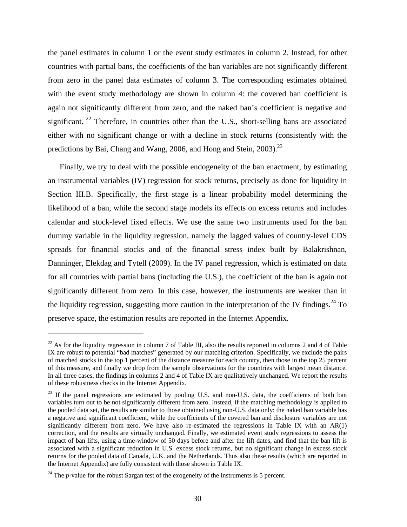the panel estimates in column 1 or the event study estimates in column 2. Instead, for other countries with partial bans, the coefficients of the ban variables are not significantly different from zero in the panel data estimates of column 3. The corresponding estimates obtained with the event study methodology are shown in column 4: the covered ban coefficient is again not significantly different from zero, and the naked ban's coefficient is negative and significant. <sup>22</sup> Therefore, in countries other than the U.S., short-selling bans are associated either with no significant change or with a decline in stock returns (consistently with the predictions by Bai, Chang and Wang, 2006, and Hong and Stein,  $2003$ .<sup>23</sup>

Finally, we try to deal with the possible endogeneity of the ban enactment, by estimating an instrumental variables (IV) regression for stock returns, precisely as done for liquidity in Section III.B. Specifically, the first stage is a linear probability model determining the likelihood of a ban, while the second stage models its effects on excess returns and includes calendar and stock-level fixed effects. We use the same two instruments used for the ban dummy variable in the liquidity regression, namely the lagged values of country-level CDS spreads for financial stocks and of the financial stress index built by Balakrishnan, Danninger, Elekdag and Tytell (2009). In the IV panel regression, which is estimated on data for all countries with partial bans (including the U.S.), the coefficient of the ban is again not significantly different from zero. In this case, however, the instruments are weaker than in the liquidity regression, suggesting more caution in the interpretation of the IV findings.<sup>24</sup> To preserve space, the estimation results are reported in the Internet Appendix.

1

 $^{22}$  As for the liquidity regression in column 7 of Table III, also the results reported in columns 2 and 4 of Table IX are robust to potential "bad matches" generated by our matching criterion. Specifically, we exclude the pairs of matched stocks in the top 1 percent of the distance measure for each country, then those in the top 25 percent of this measure, and finally we drop from the sample observations for the countries with largest mean distance. In all three cases, the findings in columns 2 and 4 of Table IX are qualitatively unchanged. We report the results of these robustness checks in the Internet Appendix.

<sup>&</sup>lt;sup>23</sup> If the panel regressions are estimated by pooling U.S. and non-U.S. data, the coefficients of both ban variables turn out to be not significantly different from zero. Instead, if the matching methodology is applied to the pooled data set, the results are similar to those obtained using non-U.S. data only: the naked ban variable has a negative and significant coefficient, while the coefficients of the covered ban and disclosure variables are not significantly different from zero. We have also re-estimated the regressions in Table IX with an AR(1) correction, and the results are virtually unchanged. Finally, we estimated event study regressions to assess the impact of ban lifts, using a time-window of 50 days before and after the lift dates, and find that the ban lift is associated with a significant reduction in U.S. excess stock returns, but no significant change in excess stock returns for the pooled data of Canada, U.K. and the Netherlands. Thus also these results (which are reported in the Internet Appendix) are fully consistent with those shown in Table IX.

<sup>&</sup>lt;sup>24</sup> The *p*-value for the robust Sargan test of the exogeneity of the instruments is 5 percent.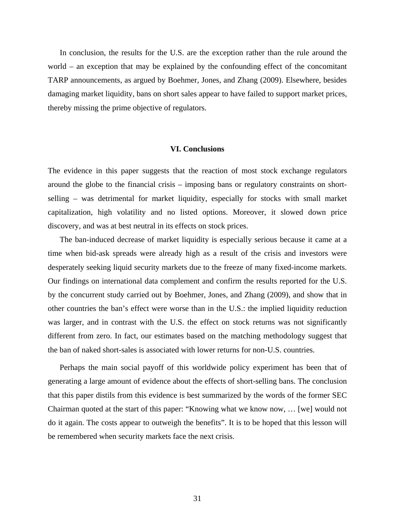In conclusion, the results for the U.S. are the exception rather than the rule around the world – an exception that may be explained by the confounding effect of the concomitant TARP announcements, as argued by Boehmer, Jones, and Zhang (2009). Elsewhere, besides damaging market liquidity, bans on short sales appear to have failed to support market prices, thereby missing the prime objective of regulators.

## **VI. Conclusions**

The evidence in this paper suggests that the reaction of most stock exchange regulators around the globe to the financial crisis – imposing bans or regulatory constraints on shortselling – was detrimental for market liquidity, especially for stocks with small market capitalization, high volatility and no listed options. Moreover, it slowed down price discovery, and was at best neutral in its effects on stock prices.

The ban-induced decrease of market liquidity is especially serious because it came at a time when bid-ask spreads were already high as a result of the crisis and investors were desperately seeking liquid security markets due to the freeze of many fixed-income markets. Our findings on international data complement and confirm the results reported for the U.S. by the concurrent study carried out by Boehmer, Jones, and Zhang (2009), and show that in other countries the ban's effect were worse than in the U.S.: the implied liquidity reduction was larger, and in contrast with the U.S. the effect on stock returns was not significantly different from zero. In fact, our estimates based on the matching methodology suggest that the ban of naked short-sales is associated with lower returns for non-U.S. countries.

Perhaps the main social payoff of this worldwide policy experiment has been that of generating a large amount of evidence about the effects of short-selling bans. The conclusion that this paper distils from this evidence is best summarized by the words of the former SEC Chairman quoted at the start of this paper: "Knowing what we know now, … [we] would not do it again. The costs appear to outweigh the benefits". It is to be hoped that this lesson will be remembered when security markets face the next crisis.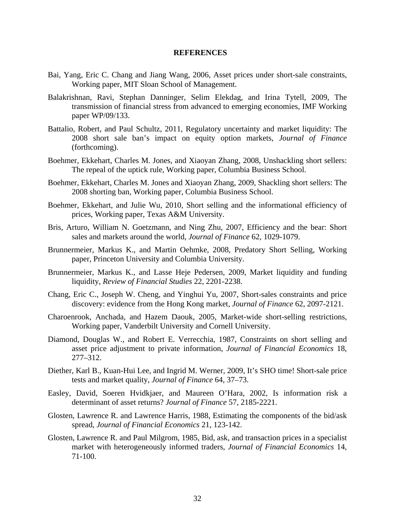#### **REFERENCES**

- Bai, Yang, Eric C. Chang and Jiang Wang, 2006, Asset prices under short-sale constraints, Working paper, MIT Sloan School of Management.
- Balakrishnan, Ravi, Stephan Danninger, Selim Elekdag, and Irina Tytell, 2009, The transmission of financial stress from advanced to emerging economies, IMF Working paper WP/09/133.
- Battalio, Robert, and Paul Schultz, 2011, Regulatory uncertainty and market liquidity: The 2008 short sale ban's impact on equity option markets, *Journal of Finance* (forthcoming).
- Boehmer, Ekkehart, Charles M. Jones, and Xiaoyan Zhang, 2008, Unshackling short sellers: The repeal of the uptick rule, Working paper, Columbia Business School.
- Boehmer, Ekkehart, Charles M. Jones and Xiaoyan Zhang, 2009, Shackling short sellers: The 2008 shorting ban, Working paper, Columbia Business School.
- Boehmer, Ekkehart, and Julie Wu, 2010, Short selling and the informational efficiency of prices, Working paper, Texas A&M University.
- Bris, Arturo, William N. Goetzmann, and Ning Zhu, 2007, Efficiency and the bear: Short sales and markets around the world, *Journal of Finance* 62, 1029-1079.
- Brunnermeier, Markus K., and Martin Oehmke, 2008, Predatory Short Selling, Working paper, Princeton University and Columbia University.
- Brunnermeier, Markus K., and Lasse Heje Pedersen, 2009, Market liquidity and funding liquidity, *Review of Financial Studies* 22, 2201-2238.
- Chang, Eric C., Joseph W. Cheng, and Yinghui Yu, 2007, Short-sales constraints and price discovery: evidence from the Hong Kong market, *Journal of Finance* 62, 2097-2121.
- Charoenrook, Anchada, and Hazem Daouk, 2005, Market-wide short-selling restrictions, Working paper, Vanderbilt University and Cornell University.
- Diamond, Douglas W., and Robert E. Verrecchia, 1987, Constraints on short selling and asset price adjustment to private information, *Journal of Financial Economics* 18, 277–312.
- Diether, Karl B., Kuan-Hui Lee, and Ingrid M. Werner, 2009, It's SHO time! Short-sale price tests and market quality, *Journal of Finance* 64, 37–73.
- Easley, David, Soeren Hvidkjaer, and Maureen O'Hara, 2002, Is information risk a determinant of asset returns? *Journal of Finance* 57, 2185-2221.
- Glosten, Lawrence R. and Lawrence Harris, 1988, Estimating the components of the bid/ask spread, *Journal of Financial Economics* 21, 123-142.
- Glosten, Lawrence R. and Paul Milgrom, 1985, Bid, ask, and transaction prices in a specialist market with heterogeneously informed traders, *Journal of Financial Economics* 14, 71-100.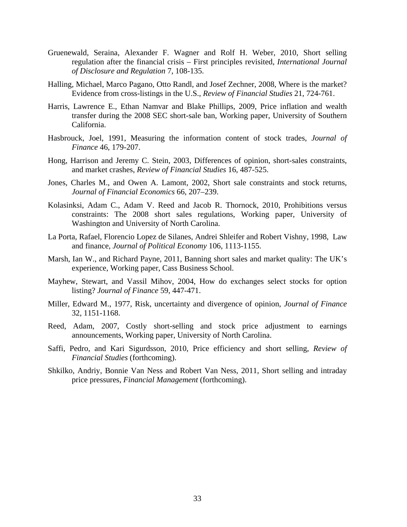- Gruenewald, Seraina, Alexander F. Wagner and Rolf H. Weber, 2010, Short selling regulation after the financial crisis – First principles revisited, *International Journal of Disclosure and Regulation* 7, 108-135.
- Halling, Michael, Marco Pagano, Otto Randl, and Josef Zechner, 2008, Where is the market? Evidence from cross-listings in the U.S., *Review of Financial Studies* 21, 724-761.
- Harris, Lawrence E., Ethan Namvar and Blake Phillips, 2009, Price inflation and wealth transfer during the 2008 SEC short-sale ban, Working paper, University of Southern California.
- Hasbrouck, Joel, 1991, Measuring the information content of stock trades, *Journal of Finance* 46, 179-207.
- Hong, Harrison and Jeremy C. Stein, 2003, Differences of opinion, short-sales constraints, and market crashes, *Review of Financial Studies* 16, 487-525.
- Jones, Charles M., and Owen A. Lamont, 2002, Short sale constraints and stock returns, *Journal of Financial Economics* 66, 207–239.
- Kolasinksi, Adam C., Adam V. Reed and Jacob R. Thornock, 2010, Prohibitions versus constraints: The 2008 short sales regulations, Working paper, University of Washington and University of North Carolina.
- La Porta, Rafael, Florencio Lopez de Silanes, Andrei Shleifer and Robert Vishny, 1998, Law and finance, *Journal of Political Economy* 106, 1113-1155.
- Marsh, Ian W., and Richard Payne, 2011, Banning short sales and market quality: The UK's experience, Working paper, Cass Business School.
- Mayhew, Stewart, and Vassil Mihov, 2004, How do exchanges select stocks for option listing? *Journal of Finance* 59, 447-471.
- Miller, Edward M., 1977, Risk, uncertainty and divergence of opinion, *Journal of Finance* 32, 1151-1168.
- Reed, Adam, 2007, Costly short-selling and stock price adjustment to earnings announcements, Working paper, University of North Carolina.
- Saffi, Pedro, and Kari Sigurdsson, 2010, Price efficiency and short selling, *Review of Financial Studies* (forthcoming).
- Shkilko, Andriy, Bonnie Van Ness and Robert Van Ness, 2011, Short selling and intraday price pressures, *Financial Management* (forthcoming).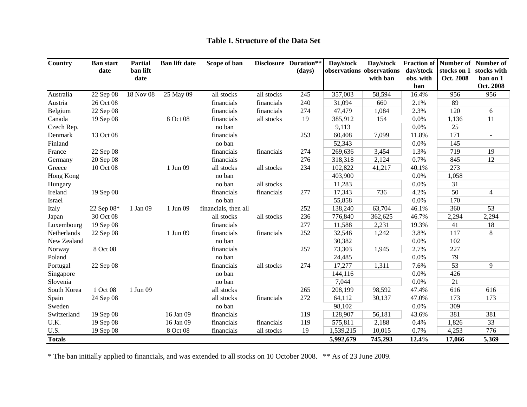| Country       | <b>Ban start</b> | Partial   | <b>Ban lift date</b> | Scope of ban         |            | Disclosure Duration** | Day/stock | Day/stock                 | <b>Fraction of</b> |           | Number of Number of     |
|---------------|------------------|-----------|----------------------|----------------------|------------|-----------------------|-----------|---------------------------|--------------------|-----------|-------------------------|
|               | date             | ban lift  |                      |                      |            | (days)                |           | observations observations | day/stock          |           | stocks on 1 stocks with |
|               |                  | date      |                      |                      |            |                       |           | with ban                  | obs. with          | Oct. 2008 | ban on 1                |
|               |                  |           |                      |                      |            |                       |           |                           | ban                |           | Oct. 2008               |
| Australia     | 22 Sep 08        | 18 Nov 08 | 25 May 09            | all stocks           | all stocks | 245                   | 357,003   | 58,594                    | 16.4%              | 956       | 956                     |
| Austria       | 26 Oct 08        |           |                      | financials           | financials | 240                   | 31,094    | 660                       | 2.1%               | 89        |                         |
| Belgium       | 22 Sep 08        |           |                      | financials           | financials | 274                   | 47,479    | 1,084                     | 2.3%               | 120       | 6                       |
| Canada        | 19 Sep 08        |           | 8 Oct 08             | financials           | all stocks | 19                    | 385,912   | 154                       | $0.0\%$            | 1,136     | 11                      |
| Czech Rep.    |                  |           |                      | no ban               |            |                       | 9,113     |                           | $0.0\%$            | 25        |                         |
| Denmark       | 13 Oct 08        |           |                      | financials           |            | 253                   | 60,408    | 7,099                     | 11.8%              | 171       | $\blacksquare$          |
| Finland       |                  |           |                      | no ban               |            |                       | 52,343    |                           | 0.0%               | 145       |                         |
| France        | 22 Sep 08        |           |                      | financials           | financials | 274                   | 269,636   | 3,454                     | 1.3%               | 719       | 19                      |
| Germany       | 20 Sep 08        |           |                      | financials           |            | 276                   | 318,318   | 2,124                     | 0.7%               | 845       | 12                      |
| Greece        | 10 Oct 08        |           | 1 Jun 09             | all stocks           | all stocks | 234                   | 102,822   | 41,217                    | 40.1%              | 273       |                         |
| Hong Kong     |                  |           |                      | no ban               |            |                       | 403,900   |                           | 0.0%               | 1,058     |                         |
| Hungary       |                  |           |                      | no ban               | all stocks |                       | 11,283    |                           | 0.0%               | 31        |                         |
| Ireland       | 19 Sep 08        |           |                      | financials           | financials | 277                   | 17,343    | 736                       | 4.2%               | 50        | 4                       |
| Israel        |                  |           |                      | no ban               |            |                       | 55,858    |                           | 0.0%               | 170       |                         |
| Italy         | 22 Sep 08*       | 1 Jan 09  | 1 Jun 09             | financials, then all |            | 252                   | 138,240   | 63,704                    | 46.1%              | 360       | 53                      |
| Japan         | 30 Oct 08        |           |                      | all stocks           | all stocks | 236                   | 776,840   | 362,625                   | 46.7%              | 2,294     | 2,294                   |
| Luxembourg    | 19 Sep 08        |           |                      | financials           |            | 277                   | 11,588    | 2,231                     | 19.3%              | 41        | 18                      |
| Netherlands   | 22 Sep 08        |           | 1 Jun 09             | financials           | financials | 252                   | 32,546    | 1,242                     | 3.8%               | 117       | $\,8\,$                 |
| New Zealand   |                  |           |                      | no ban               |            |                       | 30,382    |                           | 0.0%               | 102       |                         |
| Norway        | 8 Oct 08         |           |                      | financials           |            | 257                   | 73,303    | 1,945                     | 2.7%               | 227       |                         |
| Poland        |                  |           |                      | no ban               |            |                       | 24,485    |                           | 0.0%               | 79        |                         |
| Portugal      | 22 Sep 08        |           |                      | financials           | all stocks | 274                   | 17,277    | 1,311                     | 7.6%               | 53        | 9                       |
| Singapore     |                  |           |                      | no ban               |            |                       | 144,116   |                           | 0.0%               | 426       |                         |
| Slovenia      |                  |           |                      | no ban               |            |                       | 7,044     |                           | 0.0%               | 21        |                         |
| South Korea   | 1 Oct 08         | 1 Jun 09  |                      | all stocks           |            | 265                   | 208,199   | 98,592                    | 47.4%              | 616       | 616                     |
| Spain         | 24 Sep 08        |           |                      | all stocks           | financials | 272                   | 64,112    | 30,137                    | 47.0%              | 173       | 173                     |
| Sweden        |                  |           |                      | no ban               |            |                       | 98,102    |                           | 0.0%               | 309       |                         |
| Switzerland   | 19 Sep 08        |           | 16 Jan 09            | financials           |            | 119                   | 128,907   | 56,181                    | 43.6%              | 381       | 381                     |
| U.K.          | 19 Sep 08        |           | 16 Jan 09            | financials           | financials | 119                   | 575,811   | 2,188                     | 0.4%               | 1,826     | 33                      |
| U.S.          | 19 Sep 08        |           | 8 Oct 08             | financials           | all stocks | 19                    | 1,539,215 | 10,015                    | 0.7%               | 4,253     | 776                     |
| <b>Totals</b> |                  |           |                      |                      |            |                       | 5,992,679 | 745,293                   | 12.4%              | 17,066    | 5,369                   |

# **Table I. Structure of the Data Set**

\* The ban initially applied to financials, and was extended to all stocks on 10 October 2008. \*\* As of 23 June 2009.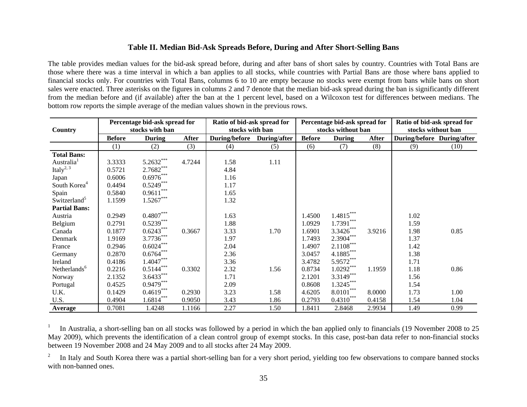# **Table II. Median Bid-Ask Spreads Before, During and After Short-Selling Bans**

The table provides median values for the bid-ask spread before, during and after bans of short sales by country. Countries with Total Bans are those where there was a time interval in which a ban applies to all stocks, while countries with Partial Bans are those where bans applied to financial stocks only. For countries with Total Bans, columns 6 to 10 are empty because no stocks were exempt from bans while bans on short sales were enacted. Three asterisks on the figures in columns 2 and 7 denote that the median bid-ask spread during the ban is significantly different from the median before and (if available) after the ban at the 1 percent level, based on a Wilcoxon test for differences between medians. The bottom row reports the simple average of the median values shown in the previous rows.

| Country                  |               | Percentage bid-ask spread for<br>stocks with ban |        | Ratio of bid-ask spread for<br>stocks with ban |      |               | Percentage bid-ask spread for<br>stocks without ban |        |                            | Ratio of bid-ask spread for<br>stocks without ban |  |  |
|--------------------------|---------------|--------------------------------------------------|--------|------------------------------------------------|------|---------------|-----------------------------------------------------|--------|----------------------------|---------------------------------------------------|--|--|
|                          | <b>Before</b> | <b>During</b>                                    | After  | During/before During/after                     |      | <b>Before</b> | <b>During</b>                                       | After  | During/before During/after |                                                   |  |  |
|                          | (1)           | (2)                                              | (3)    | (4)                                            | (5)  | (6)           | (7)                                                 | (8)    | (9)                        | (10)                                              |  |  |
| <b>Total Bans:</b>       |               |                                                  |        |                                                |      |               |                                                     |        |                            |                                                   |  |  |
| Australia <sup>1</sup>   | 3.3333        | $5.2632***$                                      | 4.7244 | 1.58                                           | 1.11 |               |                                                     |        |                            |                                                   |  |  |
| Italy <sup>2, 3</sup>    | 0.5721        | $2.7682***$                                      |        | 4.84                                           |      |               |                                                     |        |                            |                                                   |  |  |
| Japan                    | 0.6006        | $0.6976***$                                      |        | 1.16                                           |      |               |                                                     |        |                            |                                                   |  |  |
| South Korea <sup>4</sup> | 0.4494        | $0.5249***$                                      |        | 1.17                                           |      |               |                                                     |        |                            |                                                   |  |  |
| Spain                    | 0.5840        | $0.9611***$                                      |        | 1.65                                           |      |               |                                                     |        |                            |                                                   |  |  |
| Switzerland <sup>5</sup> | 1.1599        | $1.5267***$                                      |        | 1.32                                           |      |               |                                                     |        |                            |                                                   |  |  |
| <b>Partial Bans:</b>     |               |                                                  |        |                                                |      |               |                                                     |        |                            |                                                   |  |  |
| Austria                  | 0.2949        | $0.4807***$                                      |        | 1.63                                           |      | 1.4500        | $1.4815***$                                         |        | 1.02                       |                                                   |  |  |
| Belgium                  | 0.2791        | $0.5239***$                                      |        | 1.88                                           |      | 1.0929        | $1.7391***$                                         |        | 1.59                       |                                                   |  |  |
| Canada                   | 0.1877        | $0.6243***$                                      | 0.3667 | 3.33                                           | 1.70 | 1.6901        | $3.3426***$                                         | 3.9216 | 1.98                       | 0.85                                              |  |  |
| Denmark                  | 1.9169        | $3.7736***$                                      |        | 1.97                                           |      | 1.7493        | $2.3904***$                                         |        | 1.37                       |                                                   |  |  |
| France                   | 0.2946        | $0.6024***$                                      |        | 2.04                                           |      | 1.4907        | $2.1108***$                                         |        | 1.42                       |                                                   |  |  |
| Germany                  | 0.2870        | $0.6764***$                                      |        | 2.36                                           |      | 3.0457        | $4.1885***$                                         |        | 1.38                       |                                                   |  |  |
| Ireland                  | 0.4186        | $1.4047***$                                      |        | 3.36                                           |      | 3.4782        | 5.9572***                                           |        | 1.71                       |                                                   |  |  |
| Netherlands <sup>6</sup> | 0.2216        | $0.5144***$                                      | 0.3302 | 2.32                                           | 1.56 | 0.8734        | $1.0292***$                                         | 1.1959 | 1.18                       | 0.86                                              |  |  |
| Norway                   | 2.1352        | $3.6433***$                                      |        | 1.71                                           |      | 2.1201        | $3.3149***$                                         |        | 1.56                       |                                                   |  |  |
| Portugal                 | 0.4525        | $0.9479***$                                      |        | 2.09                                           |      | 0.8608        | $1.3245***$                                         |        | 1.54                       |                                                   |  |  |
| U.K.                     | 0.1429        | $0.4619***$                                      | 0.2930 | 3.23                                           | 1.58 | 4.6205        | $8.0101***$                                         | 8.0000 | 1.73                       | 1.00                                              |  |  |
| U.S.                     | 0.4904        | $1.6814***$                                      | 0.9050 | 3.43                                           | 1.86 | 0.2793        | $0.4310***$                                         | 0.4158 | 1.54                       | 1.04                                              |  |  |
| Average                  | 0.7081        | 1.4248                                           | 1.1166 | 2.27                                           | 1.50 | 1.8411        | 2.8468                                              | 2.9934 | 1.49                       | 0.99                                              |  |  |

 In Australia, a short-selling ban on all stocks was followed by a period in which the ban applied only to financials (19 November 2008 to 25 May 2009), which prevents the identification of a clean control group of exempt stocks. In this case, post-ban data refer to non-financial stocks between 19 November 2008 and 24 May 2009 and to all stocks after 24 May 2009.

2 In Italy and South Korea there was a partial short-selling ban for a very short period, yielding too few observations to compare banned stocks with non-banned ones.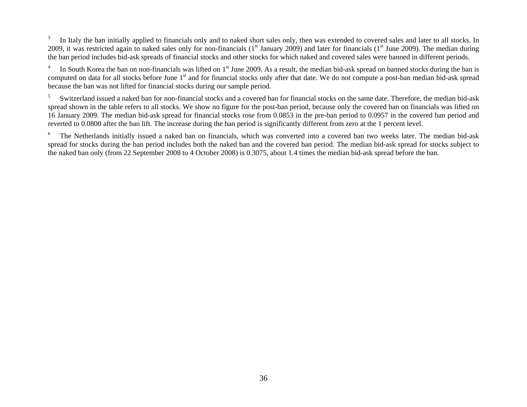3 In Italy the ban initially applied to financials only and to naked short sales only, then was extended to covered sales and later to all stocks. In 2009, it was restricted again to naked sales only for non-financials ( $1<sup>st</sup>$  January 2009) and later for financials ( $1<sup>st</sup>$  June 2009). The median during the ban period includes bid-ask spreads of financial stocks and other stocks for which naked and covered sales were banned in different periods.

4In South Korea the ban on non-financials was lifted on 1<sup>st</sup> June 2009. As a result, the median bid-ask spread on banned stocks during the ban is computed on data for all stocks before June 1<sup>st</sup> and for financial stocks only after that date. We do not compute a post-ban median bid-ask spread because the ban was not lifted for financial stocks during our sample period.

5 Switzerland issued a naked ban for non-financial stocks and a covered ban for financial stocks on the same date. Therefore, the median bid-ask spread shown in the table refers to all stocks. We show no figure for the post-ban period, because only the covered ban on financials was lifted on 16 January 2009. The median bid-ask spread for financial stocks rose from 0.0853 in the pre-ban period to 0.0957 in the covered ban period and reverted to 0.0800 after the ban lift. The increase during the ban period is significantly different from zero at the 1 percent level.

6 The Netherlands initially issued a naked ban on financials, which was converted into a covered ban two weeks later. The median bid-ask spread for stocks during the ban period includes both the naked ban and the covered ban period. The median bid-ask spread for stocks subject to the naked ban only (from 22 September 2008 to 4 October 2008) is 0.3075, about 1.4 times the median bid-ask spread before the ban.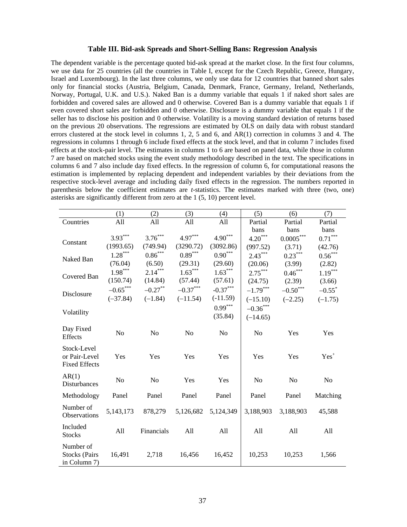#### **Table III. Bid-ask Spreads and Short-Selling Bans: Regression Analysis**

The dependent variable is the percentage quoted bid-ask spread at the market close. In the first four columns, we use data for 25 countries (all the countries in Table I, except for the Czech Republic, Greece, Hungary, Israel and Luxembourg). In the last three columns, we only use data for 12 countries that banned short sales only for financial stocks (Austria, Belgium, Canada, Denmark, France, Germany, Ireland, Netherlands, Norway, Portugal, U.K. and U.S.). Naked Ban is a dummy variable that equals 1 if naked short sales are forbidden and covered sales are allowed and 0 otherwise. Covered Ban is a dummy variable that equals 1 if even covered short sales are forbidden and 0 otherwise. Disclosure is a dummy variable that equals 1 if the seller has to disclose his position and 0 otherwise*.* Volatility is a moving standard deviation of returns based on the previous 20 observations. The regressions are estimated by OLS on daily data with robust standard errors clustered at the stock level in columns 1, 2, 5 and 6, and AR(1) correction in columns 3 and 4. The regressions in columns 1 through 6 include fixed effects at the stock level, and that in column 7 includes fixed effects at the stock-pair level. The estimates in columns 1 to 6 are based on panel data, while those in column 7 are based on matched stocks using the event study methodology described in the text. The specifications in columns 6 and 7 also include day fixed effects. In the regression of column 6, for computational reasons the estimation is implemented by replacing dependent and independent variables by their deviations from the respective stock-level average and including daily fixed effects in the regression. The numbers reported in parenthesis below the coefficient estimates are *t*-statistics. The estimates marked with three (two, one) asterisks are significantly different from zero at the 1 (5, 10) percent level.

|                      | (1)            | (2)          | (3)            | (4)        | (5)            | (6)                                | (7)                   |
|----------------------|----------------|--------------|----------------|------------|----------------|------------------------------------|-----------------------|
| Countries            | All            | All          | All            | All        | Partial        | Partial                            | Partial               |
|                      |                |              |                |            | bans           | bans                               | bans                  |
| Constant             | $3.93***$      | $3.76***$    | $4.97***$      | $4.90***$  | $4.20***$      | $0.0005\ensuremath{^{***}}\xspace$ | $0.71^{\ast\ast\ast}$ |
|                      | (1993.65)      | (749.94)     | (3290.72)      | (3092.86)  | (997.52)       | (3.71)                             | (42.76)               |
| Naked Ban            | $1.28***$      | $0.86^{***}$ | $0.89***$      | $0.90***$  | $2.43***$      | $0.23***$                          | $0.56***$             |
|                      | (76.04)        | (6.50)       | (29.31)        | (29.60)    | (20.06)        | (3.99)                             | (2.82)                |
| Covered Ban          | $1.98***$      | $2.14***$    | $1.63***$      | $1.63***$  | $2.75***$      | $0.46^{\ast\ast\ast}$              | $1.19***$             |
|                      | (150.74)       | (14.84)      | (57.44)        | (57.61)    | (24.75)        | (2.39)                             | (3.66)                |
| Disclosure           | $-0.65***$     | $-0.27$ **   | $-0.37***$     | $-0.37***$ | $-1.79***$     | $-0.50***$                         | $-0.55$ *             |
|                      | $(-37.84)$     | $(-1.84)$    | $(-11.54)$     | $(-11.59)$ | $(-15.10)$     | $(-2.25)$                          | $(-1.75)$             |
|                      |                |              |                | $0.99***$  | $-0.36***$     |                                    |                       |
| Volatility           |                |              |                | (35.84)    | $(-14.65)$     |                                    |                       |
|                      |                |              |                |            |                |                                    |                       |
| Day Fixed<br>Effects | No             | No           | N <sub>o</sub> | No         | N <sub>o</sub> | Yes                                | Yes                   |
|                      |                |              |                |            |                |                                    |                       |
| Stock-Level          |                |              |                |            |                |                                    |                       |
| or Pair-Level        | Yes            | Yes          | Yes            | Yes        | Yes            | Yes                                | $Yes+$                |
| <b>Fixed Effects</b> |                |              |                |            |                |                                    |                       |
| AR(1)                |                |              |                |            |                |                                    |                       |
| Disturbances         | N <sub>o</sub> | No           | Yes            | Yes        | N <sub>o</sub> | No                                 | No                    |
| Methodology          | Panel          | Panel        | Panel          | Panel      | Panel          | Panel                              | Matching              |
| Number of            |                |              |                |            |                |                                    |                       |
| Observations         | 5, 143, 173    | 878,279      | 5,126,682      | 5,124,349  | 3,188,903      | 3,188,903                          | 45,588                |
| Included             |                |              |                |            |                |                                    |                       |
| <b>Stocks</b>        | All            | Financials   | All            | All        | All            | All                                | All                   |
| Number of            |                |              |                |            |                |                                    |                       |
| <b>Stocks</b> (Pairs | 16,491         | 2,718        | 16,456         | 16,452     | 10,253         | 10,253                             | 1,566                 |
| in Column 7)         |                |              |                |            |                |                                    |                       |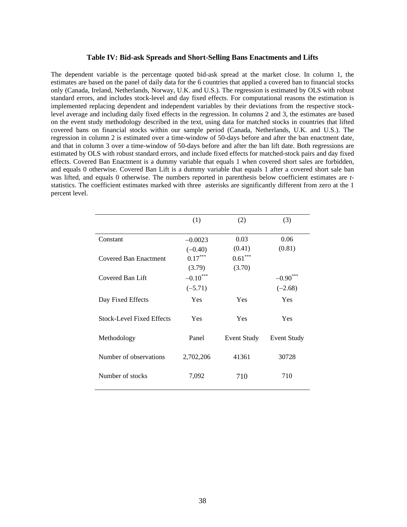#### **Table IV: Bid-ask Spreads and Short-Selling Bans Enactments and Lifts**

The dependent variable is the percentage quoted bid-ask spread at the market close. In column 1, the estimates are based on the panel of daily data for the 6 countries that applied a covered ban to financial stocks only (Canada, Ireland, Netherlands, Norway, U.K. and U.S.). The regression is estimated by OLS with robust standard errors, and includes stock-level and day fixed effects. For computational reasons the estimation is implemented replacing dependent and independent variables by their deviations from the respective stocklevel average and including daily fixed effects in the regression. In columns 2 and 3, the estimates are based on the event study methodology described in the text, using data for matched stocks in countries that lifted covered bans on financial stocks within our sample period (Canada, Netherlands, U.K. and U.S.). The regression in column 2 is estimated over a time-window of 50-days before and after the ban enactment date, and that in column 3 over a time-window of 50-days before and after the ban lift date. Both regressions are estimated by OLS with robust standard errors, and include fixed effects for matched-stock pairs and day fixed effects. Covered Ban Enactment is a dummy variable that equals 1 when covered short sales are forbidden, and equals 0 otherwise. Covered Ban Lift is a dummy variable that equals 1 after a covered short sale ban was lifted, and equals 0 otherwise. The numbers reported in parenthesis below coefficient estimates are *t*statistics. The coefficient estimates marked with three asterisks are significantly different from zero at the 1 percent level.

|                                  | (1)        | (2)         | (3)             |
|----------------------------------|------------|-------------|-----------------|
| Constant                         | $-0.0023$  | 0.03        | 0.06            |
|                                  | $(-0.40)$  | (0.41)      | (0.81)          |
| <b>Covered Ban Enactment</b>     | $0.17***$  | $0.61***$   |                 |
|                                  | (3.79)     | (3.70)      |                 |
| Covered Ban Lift                 | $-0.10***$ |             | $-0.90^{\circ}$ |
|                                  | $(-5.71)$  |             | $(-2.68)$       |
| Day Fixed Effects                | Yes        | Yes         | Yes             |
| <b>Stock-Level Fixed Effects</b> | Yes        | Yes         | Yes             |
| Methodology                      | Panel      | Event Study | Event Study     |
| Number of observations           | 2,702,206  | 41361       | 30728           |
| Number of stocks                 | 7,092      | 710         | 710             |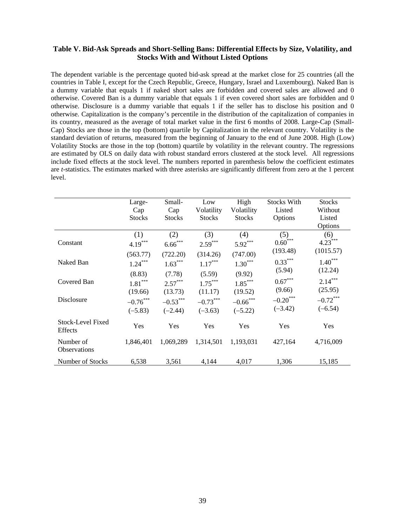## **Table V. Bid-Ask Spreads and Short-Selling Bans: Differential Effects by Size, Volatility, and Stocks With and Without Listed Options**

The dependent variable is the percentage quoted bid-ask spread at the market close for 25 countries (all the countries in Table I, except for the Czech Republic, Greece, Hungary, Israel and Luxembourg). Naked Ban is a dummy variable that equals 1 if naked short sales are forbidden and covered sales are allowed and 0 otherwise. Covered Ban is a dummy variable that equals 1 if even covered short sales are forbidden and 0 otherwise. Disclosure is a dummy variable that equals 1 if the seller has to disclose his position and 0 otherwise*.* Capitalization is the company's percentile in the distribution of the capitalization of companies in its country, measured as the average of total market value in the first 6 months of 2008. Large-Cap (Small-Cap) Stocks are those in the top (bottom) quartile by Capitalization in the relevant country. Volatility is the standard deviation of returns, measured from the beginning of January to the end of June 2008. High (Low) Volatility Stocks are those in the top (bottom) quartile by volatility in the relevant country. The regressions are estimated by OLS on daily data with robust standard errors clustered at the stock level. All regressions include fixed effects at the stock level. The numbers reported in parenthesis below the coefficient estimates are *t*-statistics. The estimates marked with three asterisks are significantly different from zero at the 1 percent level.

|                                  | Large-<br>Cap<br><b>Stocks</b>  | Small-<br>Cap<br><b>Stocks</b>  | Low<br>Volatility<br><b>Stocks</b> | High<br>Volatility<br><b>Stocks</b> | <b>Stocks With</b><br>Listed<br>Options | <b>Stocks</b><br>Without<br>Listed<br>Options |
|----------------------------------|---------------------------------|---------------------------------|------------------------------------|-------------------------------------|-----------------------------------------|-----------------------------------------------|
| Constant                         | (1)<br>$4.19***$                | (2)<br>$6.66***$                | (3)<br>$2.59***$                   | (4)<br>$5.92***$                    | (5)<br>$0.60***$<br>(193.48)            | (6)<br>$4.23***$<br>(1015.57)                 |
| Naked Ban                        | (563.77)<br>$1.24***$<br>(8.83) | (722.20)<br>$1.63***$<br>(7.78) | (314.26)<br>$1.17***$<br>(5.59)    | (747.00)<br>$1.30***$<br>(9.92)     | $0.33***$<br>(5.94)                     | $1.40***$<br>(12.24)                          |
| Covered Ban                      | $1.81***$<br>(19.66)            | $2.57***$<br>(13.73)            | $1.75***$<br>(11.17)               | $1.85***$<br>(19.52)                | $0.67***$<br>(9.66)                     | $2.14***$<br>(25.95)                          |
| <b>Disclosure</b>                | $-0.76***$<br>$(-5.83)$         | $-0.53***$<br>$(-2.44)$         | $-0.73***$<br>$(-3.63)$            | $-0.66$ ***<br>$(-5.22)$            | $-0.20$ ***<br>$(-3.42)$                | $-0.72$ ***<br>$(-6.54)$                      |
| Stock-Level Fixed<br>Effects     | Yes                             | Yes                             | Yes                                | Yes                                 | Yes                                     | Yes                                           |
| Number of<br><b>Observations</b> | 1,846,401                       | 1,069,289                       | 1,314,501                          | 1,193,031                           | 427,164                                 | 4,716,009                                     |
| Number of Stocks                 | 6,538                           | 3,561                           | 4,144                              | 4,017                               | 1,306                                   | 15,185                                        |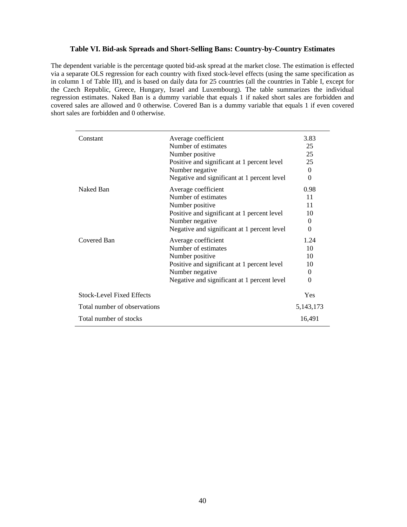## **Table VI. Bid-ask Spreads and Short-Selling Bans: Country-by-Country Estimates**

The dependent variable is the percentage quoted bid-ask spread at the market close. The estimation is effected via a separate OLS regression for each country with fixed stock-level effects (using the same specification as in column 1 of Table III), and is based on daily data for 25 countries (all the countries in Table I, except for the Czech Republic, Greece, Hungary, Israel and Luxembourg). The table summarizes the individual regression estimates. Naked Ban is a dummy variable that equals 1 if naked short sales are forbidden and covered sales are allowed and 0 otherwise. Covered Ban is a dummy variable that equals 1 if even covered short sales are forbidden and 0 otherwise.

| Average coefficient<br>Number of estimates<br>Number positive<br>Positive and significant at 1 percent level<br>Number negative<br>Negative and significant at 1 percent level | 3.83<br>25<br>25<br>25<br>$\Omega$<br>$\Omega$ |
|--------------------------------------------------------------------------------------------------------------------------------------------------------------------------------|------------------------------------------------|
| Average coefficient<br>Number of estimates<br>Number positive<br>Positive and significant at 1 percent level<br>Number negative<br>Negative and significant at 1 percent level | 0.98<br>11<br>11<br>10<br>$\Omega$<br>0        |
| Average coefficient<br>Number of estimates<br>Number positive<br>Positive and significant at 1 percent level<br>Number negative<br>Negative and significant at 1 percent level | 1.24<br>10<br>10<br>10<br>$\Omega$<br>0        |
|                                                                                                                                                                                | Yes                                            |
|                                                                                                                                                                                | 5, 143, 173                                    |
|                                                                                                                                                                                | 16,491                                         |
|                                                                                                                                                                                |                                                |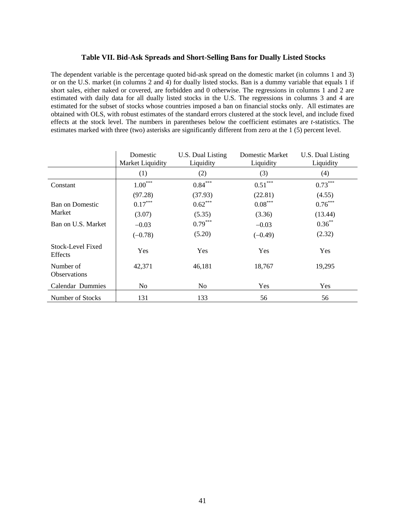## **Table VII. Bid-Ask Spreads and Short-Selling Bans for Dually Listed Stocks**

The dependent variable is the percentage quoted bid-ask spread on the domestic market (in columns 1 and 3) or on the U.S. market (in columns 2 and 4) for dually listed stocks. Ban is a dummy variable that equals 1 if short sales, either naked or covered, are forbidden and 0 otherwise. The regressions in columns 1 and 2 are estimated with daily data for all dually listed stocks in the U.S. The regressions in columns 3 and 4 are estimated for the subset of stocks whose countries imposed a ban on financial stocks only. All estimates are obtained with OLS, with robust estimates of the standard errors clustered at the stock level, and include fixed effects at the stock level. The numbers in parentheses below the coefficient estimates are *t*-statistics. The estimates marked with three (two) asterisks are significantly different from zero at the 1 (5) percent level.

|                                  | Domestic<br>U.S. Dual Listing<br>Market Liquidity<br>Liquidity |           | Domestic Market<br>Liquidity | U.S. Dual Listing<br>Liquidity |
|----------------------------------|----------------------------------------------------------------|-----------|------------------------------|--------------------------------|
|                                  | (1)                                                            | (2)       | (3)                          | (4)                            |
| Constant                         | $1.00***$                                                      | $0.84***$ | $0.51***$                    | $0.73***$                      |
|                                  | (97.28)                                                        | (37.93)   | (22.81)                      | (4.55)                         |
| Ban on Domestic                  | $0.17***$                                                      | $0.62***$ | $0.08^{\ast\ast\ast}$        | $0.76***$                      |
| Market                           | (3.07)                                                         | (5.35)    | (3.36)                       | (13.44)                        |
| Ban on U.S. Market               | $-0.03$                                                        | $0.79***$ | $-0.03$                      | $0.36***$                      |
|                                  | $(-0.78)$                                                      | (5.20)    | $(-0.49)$                    | (2.32)                         |
| Stock-Level Fixed<br>Effects     | Yes                                                            | Yes       | Yes                          | Yes                            |
| Number of<br><b>Observations</b> | 42.371                                                         | 46,181    | 18,767                       | 19,295                         |
| Calendar Dummies                 | No                                                             | No        | Yes                          | Yes                            |
| Number of Stocks                 | 131                                                            | 133       | 56                           | 56                             |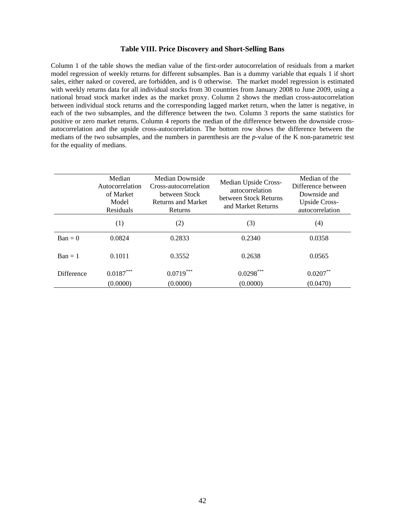# **Table VIII. Price Discovery and Short-Selling Bans**

Column 1 of the table shows the median value of the first-order autocorrelation of residuals from a market model regression of weekly returns for different subsamples. Ban is a dummy variable that equals 1 if short sales, either naked or covered, are forbidden, and is 0 otherwise. The market model regression is estimated with weekly returns data for all individual stocks from 30 countries from January 2008 to June 2009, using a national broad stock market index as the market proxy. Column 2 shows the median cross-autocorrelation between individual stock returns and the corresponding lagged market return, when the latter is negative, in each of the two subsamples, and the difference between the two. Column 3 reports the same statistics for positive or zero market returns. Column 4 reports the median of the difference between the downside crossautocorrelation and the upside cross-autocorrelation. The bottom row shows the difference between the medians of the two subsamples, and the numbers in parenthesis are the *p*-value of the K non-parametric test for the equality of medians.

|            | Median<br>Autocorrelation<br>of Market<br>Model<br>Residuals | Median Downside<br>Cross-autocorrelation<br>between Stock<br><b>Returns and Market</b><br>Returns | Median Upside Cross-<br>autocorrelation<br>between Stock Returns<br>and Market Returns | Median of the<br>Difference between<br>Downside and<br><b>Upside Cross-</b><br>autocorrelation |  |  |
|------------|--------------------------------------------------------------|---------------------------------------------------------------------------------------------------|----------------------------------------------------------------------------------------|------------------------------------------------------------------------------------------------|--|--|
|            | (1)                                                          | (2)                                                                                               | (3)                                                                                    | (4)                                                                                            |  |  |
| $Ban = 0$  | 0.0824                                                       | 0.2833                                                                                            | 0.2340                                                                                 | 0.0358                                                                                         |  |  |
| $Ban = 1$  | 0.1011                                                       | 0.3552                                                                                            | 0.2638                                                                                 | 0.0565                                                                                         |  |  |
| Difference | $0.0187***$                                                  | $0.0719***$                                                                                       | $0.0298***$                                                                            | $0.0207**$                                                                                     |  |  |
|            | (0.0000)                                                     | (0.0000)                                                                                          | (0.0000)                                                                               | (0.0470)                                                                                       |  |  |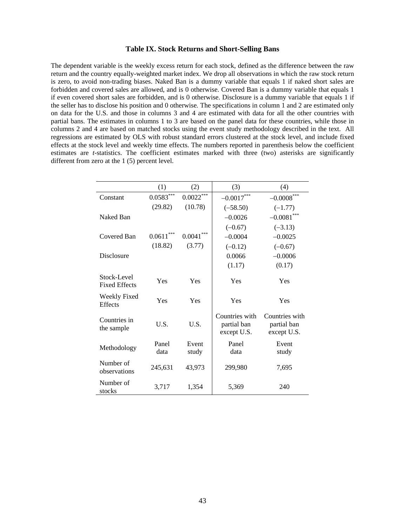#### **Table IX. Stock Returns and Short-Selling Bans**

The dependent variable is the weekly excess return for each stock, defined as the difference between the raw return and the country equally-weighted market index. We drop all observations in which the raw stock return is zero, to avoid non-trading biases. Naked Ban is a dummy variable that equals 1 if naked short sales are forbidden and covered sales are allowed, and is 0 otherwise. Covered Ban is a dummy variable that equals 1 if even covered short sales are forbidden, and is 0 otherwise. Disclosure is a dummy variable that equals 1 if the seller has to disclose his position and 0 otherwise*.* The specifications in column 1 and 2 are estimated only on data for the U.S. and those in columns 3 and 4 are estimated with data for all the other countries with partial bans. The estimates in columns 1 to 3 are based on the panel data for these countries, while those in columns 2 and 4 are based on matched stocks using the event study methodology described in the text. All regressions are estimated by OLS with robust standard errors clustered at the stock level, and include fixed effects at the stock level and weekly time effects. The numbers reported in parenthesis below the coefficient estimates are *t*-statistics. The coefficient estimates marked with three (two) asterisks are significantly different from zero at the 1 (5) percent level.

|                                     | (1)                       | (2)            | (3)                                          | (4)                                          |
|-------------------------------------|---------------------------|----------------|----------------------------------------------|----------------------------------------------|
| Constant                            | ${0.0583}^{\ast\ast\ast}$ | $0.0022^{***}$ | $-0.0017***$                                 | $-0.0008***$                                 |
|                                     | (29.82)                   | (10.78)        | $(-58.50)$                                   | $(-1.77)$                                    |
| Naked Ban                           |                           |                | $-0.0026$                                    | $-0.0081$                                    |
|                                     |                           |                | $(-0.67)$                                    | $(-3.13)$                                    |
| Covered Ban                         | $0.0611***$               | 0.0041         | $-0.0004$                                    | $-0.0025$                                    |
|                                     | (18.82)                   | (3.77)         | $(-0.12)$                                    | $(-0.67)$                                    |
| Disclosure                          |                           |                | 0.0066                                       | $-0.0006$                                    |
|                                     |                           |                | (1.17)                                       | (0.17)                                       |
| Stock-Level<br><b>Fixed Effects</b> | Yes                       | Yes            | Yes                                          | Yes                                          |
| Weekly Fixed<br><b>Effects</b>      | Yes                       | Yes            | Yes                                          | Yes                                          |
| Countries in<br>the sample          | U.S.                      | U.S.           | Countries with<br>partial ban<br>except U.S. | Countries with<br>partial ban<br>except U.S. |
| Methodology                         | Panel<br>data             | Event<br>study | Panel<br>data                                | Event<br>study                               |
| Number of<br>observations           | 245,631                   | 43,973         | 299,980                                      | 7,695                                        |
| Number of<br>stocks                 | 3.717                     | 1,354          | 5,369                                        | 240                                          |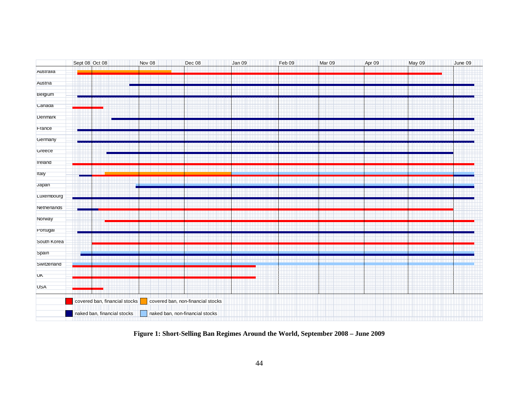|                | Sept 08 Oct 08                                                 | Nov 08 | Dec 08                            | Jan 09 | Feb 09 | Mar 09 | Apr 09 | May 09 | June 09 |
|----------------|----------------------------------------------------------------|--------|-----------------------------------|--------|--------|--------|--------|--------|---------|
| Australia      |                                                                |        |                                   |        |        |        |        |        |         |
| Austria        |                                                                |        |                                   |        |        |        |        |        |         |
| Belgium        |                                                                |        |                                   |        |        |        |        |        |         |
| Canada         |                                                                |        |                                   |        |        |        |        |        |         |
| <b>Denmark</b> |                                                                |        |                                   |        |        |        |        |        |         |
| France         |                                                                |        |                                   |        |        |        |        |        |         |
| Germany        |                                                                |        |                                   |        |        |        |        |        |         |
| Greece         |                                                                |        |                                   |        |        |        |        |        |         |
| Ireland        |                                                                |        |                                   |        |        |        |        |        |         |
|                |                                                                |        |                                   |        |        |        |        |        |         |
| Italy          |                                                                |        |                                   |        |        |        |        |        |         |
| Japan          |                                                                |        |                                   |        |        |        |        |        |         |
| Luxembourg     |                                                                |        |                                   |        |        |        |        |        |         |
| Netherlands    |                                                                |        |                                   |        |        |        |        |        |         |
| Norway         |                                                                |        |                                   |        |        |        |        |        |         |
| Portugal       |                                                                |        |                                   |        |        |        |        |        |         |
| South Korea    |                                                                |        |                                   |        |        |        |        |        |         |
| Spain          |                                                                |        |                                   |        |        |        |        |        |         |
| Switzerland    | ШT                                                             |        |                                   |        |        |        |        |        |         |
| <b>UK</b>      |                                                                |        |                                   |        |        |        |        |        |         |
| <b>USA</b>     | <u> Time</u><br><b>TELEVISION</b>                              |        |                                   |        |        |        |        |        |         |
|                | المستحدث<br><b>CONTRACTOR</b>                                  |        |                                   |        |        |        |        |        |         |
|                | covered ban, financial stocks                                  |        | covered ban, non-financial stocks |        |        |        |        |        |         |
|                | naked ban, non-financial stocks<br>naked ban, financial stocks |        |                                   |        |        |        |        |        |         |

**Figure 1: Short-Selling Ban Regimes Around the World, September 2008 – June 2009**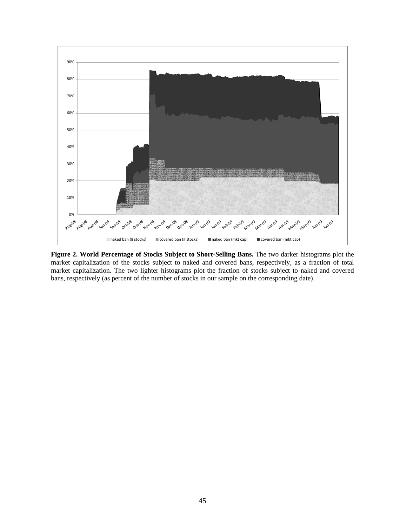

**Figure 2. World Percentage of Stocks Subject to Short-Selling Bans.** The two darker histograms plot the market capitalization of the stocks subject to naked and covered bans, respectively, as a fraction of total market capitalization. The two lighter histograms plot the fraction of stocks subject to naked and covered bans, respectively (as percent of the number of stocks in our sample on the corresponding date).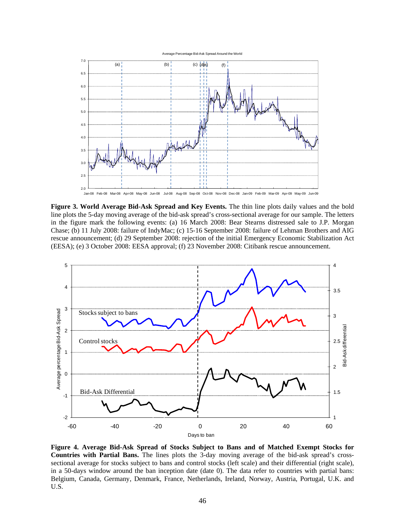

Jan-08 Feb-08 Mar-08 Apr-08 May-08 Jun-08 Jul-08 Aug-08 Sep-08 Oct-08 Nov-08 Dec-08 Jan-09 Feb-09 Mar-09 Apr-09 May-09 Jun-09

**Figure 3. World Average Bid-Ask Spread and Key Events.** The thin line plots daily values and the bold line plots the 5-day moving average of the bid-ask spread's cross-sectional average for our sample. The letters in the figure mark the following events: (a) 16 March 2008: Bear Stearns distressed sale to J.P. Morgan Chase; (b) 11 July 2008: failure of IndyMac; (c) 15-16 September 2008: failure of Lehman Brothers and AIG rescue announcement; (d) 29 September 2008: rejection of the initial Emergency Economic Stabilization Act (EESA); (e) 3 October 2008: EESA approval; (f) 23 November 2008: Citibank rescue announcement.



**Figure 4. Average Bid-Ask Spread of Stocks Subject to Bans and of Matched Exempt Stocks for Countries with Partial Bans.** The lines plots the 3-day moving average of the bid-ask spread's crosssectional average for stocks subject to bans and control stocks (left scale) and their differential (right scale), in a 50-days window around the ban inception date (date 0). The data refer to countries with partial bans: Belgium, Canada, Germany, Denmark, France, Netherlands, Ireland, Norway, Austria, Portugal, U.K. and U.S.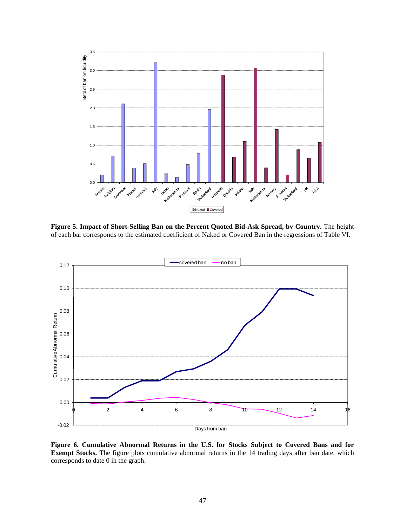

**Figure 5. Impact of Short-Selling Ban on the Percent Quoted Bid-Ask Spread, by Country.** The height of each bar corresponds to the estimated coefficient of Naked or Covered Ban in the regressions of Table VI.



**Figure 6. Cumulative Abnormal Returns in the U.S. for Stocks Subject to Covered Bans and for Exempt Stocks.** The figure plots cumulative abnormal returns in the 14 trading days after ban date, which corresponds to date 0 in the graph.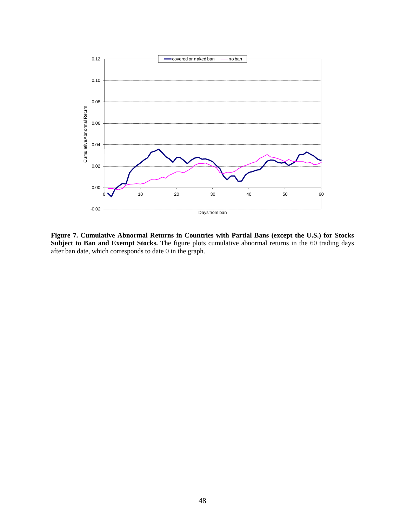

**Figure 7. Cumulative Abnormal Returns in Countries with Partial Bans (except the U.S.) for Stocks Subject to Ban and Exempt Stocks.** The figure plots cumulative abnormal returns in the 60 trading days after ban date, which corresponds to date 0 in the graph.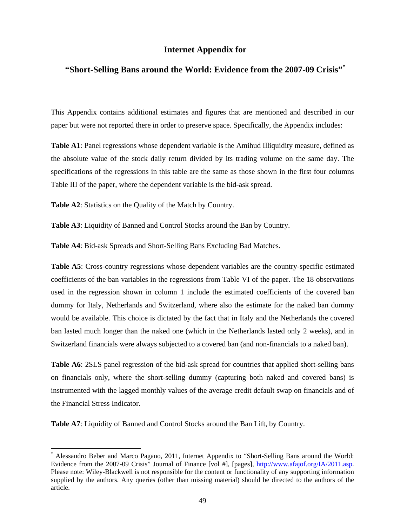# **Internet Appendix for**

# **"Short-Selling Bans around the World: Evidence from the 2007-09 Crisis"\***

This Appendix contains additional estimates and figures that are mentioned and described in our paper but were not reported there in order to preserve space. Specifically, the Appendix includes:

**Table A1**: Panel regressions whose dependent variable is the Amihud Illiquidity measure, defined as the absolute value of the stock daily return divided by its trading volume on the same day. The specifications of the regressions in this table are the same as those shown in the first four columns Table III of the paper, where the dependent variable is the bid-ask spread.

**Table A2**: Statistics on the Quality of the Match by Country.

**Table A3**: Liquidity of Banned and Control Stocks around the Ban by Country.

**Table A4**: Bid-ask Spreads and Short-Selling Bans Excluding Bad Matches.

**Table A5**: Cross-country regressions whose dependent variables are the country-specific estimated coefficients of the ban variables in the regressions from Table VI of the paper. The 18 observations used in the regression shown in column 1 include the estimated coefficients of the covered ban dummy for Italy, Netherlands and Switzerland, where also the estimate for the naked ban dummy would be available. This choice is dictated by the fact that in Italy and the Netherlands the covered ban lasted much longer than the naked one (which in the Netherlands lasted only 2 weeks), and in Switzerland financials were always subjected to a covered ban (and non-financials to a naked ban).

**Table A6**: 2SLS panel regression of the bid-ask spread for countries that applied short-selling bans on financials only, where the short-selling dummy (capturing both naked and covered bans) is instrumented with the lagged monthly values of the average credit default swap on financials and of the Financial Stress Indicator.

**Table A7**: Liquidity of Banned and Control Stocks around the Ban Lift, by Country.

 $\overline{a}$ 

<sup>\*</sup> Alessandro Beber and Marco Pagano, 2011, Internet Appendix to "Short-Selling Bans around the World: Evidence from the 2007-09 Crisis" Journal of Finance [vol #], [pages], http://www.afajof.org/IA/2011.asp. Please note: Wiley-Blackwell is not responsible for the content or functionality of any supporting information supplied by the authors. Any queries (other than missing material) should be directed to the authors of the article.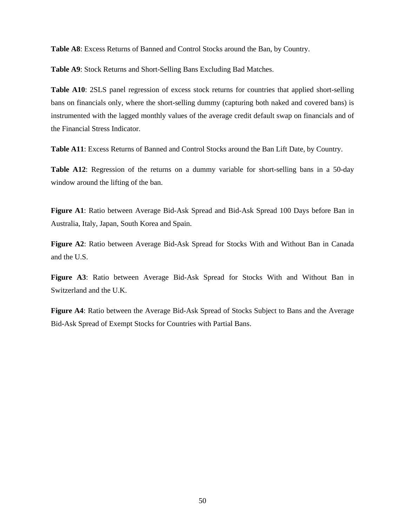**Table A8**: Excess Returns of Banned and Control Stocks around the Ban, by Country.

**Table A9**: Stock Returns and Short-Selling Bans Excluding Bad Matches.

**Table A10**: 2SLS panel regression of excess stock returns for countries that applied short-selling bans on financials only, where the short-selling dummy (capturing both naked and covered bans) is instrumented with the lagged monthly values of the average credit default swap on financials and of the Financial Stress Indicator.

**Table A11**: Excess Returns of Banned and Control Stocks around the Ban Lift Date, by Country.

**Table A12**: Regression of the returns on a dummy variable for short-selling bans in a 50-day window around the lifting of the ban.

**Figure A1**: Ratio between Average Bid-Ask Spread and Bid-Ask Spread 100 Days before Ban in Australia, Italy, Japan, South Korea and Spain.

**Figure A2**: Ratio between Average Bid-Ask Spread for Stocks With and Without Ban in Canada and the U.S.

**Figure A3**: Ratio between Average Bid-Ask Spread for Stocks With and Without Ban in Switzerland and the U.K.

**Figure A4**: Ratio between the Average Bid-Ask Spread of Stocks Subject to Bans and the Average Bid-Ask Spread of Exempt Stocks for Countries with Partial Bans.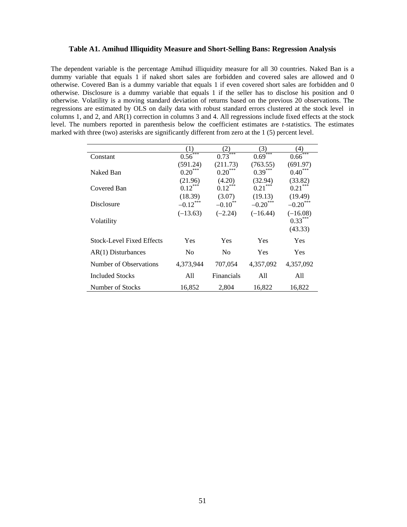## **Table A1. Amihud Illiquidity Measure and Short-Selling Bans: Regression Analysis**

The dependent variable is the percentage Amihud illiquidity measure for all 30 countries. Naked Ban is a dummy variable that equals 1 if naked short sales are forbidden and covered sales are allowed and 0 otherwise. Covered Ban is a dummy variable that equals 1 if even covered short sales are forbidden and 0 otherwise. Disclosure is a dummy variable that equals 1 if the seller has to disclose his position and 0 otherwise*.* Volatility is a moving standard deviation of returns based on the previous 20 observations. The regressions are estimated by OLS on daily data with robust standard errors clustered at the stock level in columns 1, and 2, and AR(1) correction in columns 3 and 4. All regressions include fixed effects at the stock level. The numbers reported in parenthesis below the coefficient estimates are *t*-statistics. The estimates marked with three (two) asterisks are significantly different from zero at the 1 (5) percent level.

|                                  | (1)            | (2)                   | (3)         | (4)             |
|----------------------------------|----------------|-----------------------|-------------|-----------------|
| Constant                         | $0.56***$      | $0.73***$             | $0.69***$   | $0.66^{***}$    |
|                                  | (591.24)       | (211.73)              | (763.55)    | (691.97)        |
| Naked Ban                        | $0.20***$      | $0.20***$             | $0.39***$   | $0.40^\ast{}^*$ |
|                                  | (21.96)        | (4.20)                | (32.94)     | (33.82)         |
| Covered Ban                      | $0.12***$      | $0.12***$             | $0.21***$   | $0.21***$       |
|                                  | (18.39)        | (3.07)                | (19.13)     | (19.49)         |
| Disclosure                       | $-0.12$ ***    | $-0.10$ <sup>**</sup> | $-0.20$ *** | $-0.20$ ***     |
|                                  | $(-13.63)$     | $(-2.24)$             | $(-16.44)$  | $(-16.08)$      |
| Volatility                       |                |                       |             | $0.33***$       |
|                                  |                |                       |             | (43.33)         |
| <b>Stock-Level Fixed Effects</b> | Yes            | Yes                   | Yes         | Yes             |
| $AR(1)$ Disturbances             | N <sub>0</sub> | N <sub>0</sub>        | Yes         | Yes             |
| Number of Observations           | 4,373,944      | 707,054               | 4,357,092   | 4,357,092       |
| <b>Included Stocks</b>           | All            | Financials            | All         | A11             |
| Number of Stocks                 | 16,852         | 2,804                 | 16,822      | 16,822          |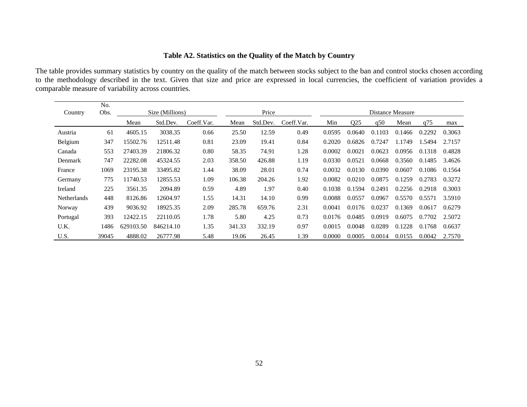# **Table A2. Statistics on the Quality of the Match by Country**

The table provides summary statistics by country on the quality of the match between stocks subject to the ban and control stocks chosen according to the methodology described in the text. Given that size and price are expressed in local currencies, the coefficient of variation provides a comparable measure of variability across countries.

| Country            | No.<br>Obs. |           | Size (Millions) |            |        | Price    |            |        | Distance Measure |        |        |        |        |
|--------------------|-------------|-----------|-----------------|------------|--------|----------|------------|--------|------------------|--------|--------|--------|--------|
|                    |             | Mean      | Std.Dev.        | Coeff.Var. | Mean   | Std.Dev. | Coeff.Var. | Min    | Q25              | q50    | Mean   | q75    | max    |
| Austria            | 61          | 4605.15   | 3038.35         | 0.66       | 25.50  | 12.59    | 0.49       | 0.0595 | 0.0640           | 0.1103 | 0.1466 | 0.2292 | 0.3063 |
| Belgium            | 347         | 15502.76  | 12511.48        | 0.81       | 23.09  | 19.41    | 0.84       | 0.2020 | 0.6826           | 0.7247 | 1.1749 | 1.5494 | 2.7157 |
| Canada             | 553         | 27403.39  | 21806.32        | 0.80       | 58.35  | 74.91    | 1.28       | 0.0002 | 0.0021           | 0.0623 | 0.0956 | 0.1318 | 0.4828 |
| Denmark            | 747         | 22282.08  | 45324.55        | 2.03       | 358.50 | 426.88   | 1.19       | 0.0330 | 0.0521           | 0.0668 | 0.3560 | 0.1485 | 3.4626 |
| France             | 1069        | 23195.38  | 33495.82        | 1.44       | 38.09  | 28.01    | 0.74       | 0.0032 | 0.0130           | 0.0390 | 0.0607 | 0.1086 | 0.1564 |
| Germany            | 775         | 11740.53  | 12855.53        | 1.09       | 106.38 | 204.26   | 1.92       | 0.0082 | 0.0210           | 0.0875 | 0.1259 | 0.2783 | 0.3272 |
| Ireland            | 225         | 3561.35   | 2094.89         | 0.59       | 4.89   | 1.97     | 0.40       | 0.1038 | 0.1594           | 0.2491 | 0.2256 | 0.2918 | 0.3003 |
| <b>Netherlands</b> | 448         | 8126.86   | 12604.97        | 1.55       | 14.31  | 14.10    | 0.99       | 0.0088 | 0.0557           | 0.0967 | 0.5570 | 0.5571 | 3.5910 |
| Norway             | 439         | 9036.92   | 18925.35        | 2.09       | 285.78 | 659.76   | 2.31       | 0.0041 | 0.0176           | 0.0237 | 0.1369 | 0.0617 | 0.6279 |
| Portugal           | 393         | 12422.15  | 22110.05        | 1.78       | 5.80   | 4.25     | 0.73       | 0.0176 | 0.0485           | 0.0919 | 0.6075 | 0.7702 | 2.5072 |
| U.K.               | 1486        | 629103.50 | 846214.10       | 1.35       | 341.33 | 332.19   | 0.97       | 0.0015 | 0.0048           | 0.0289 | 0.1228 | 0.1768 | 0.6637 |
| U.S.               | 39045       | 4888.02   | 26777.98        | 5.48       | 19.06  | 26.45    | 1.39       | 0.0000 | 0.0005           | 0.0014 | 0.0155 | 0.0042 | 2.7570 |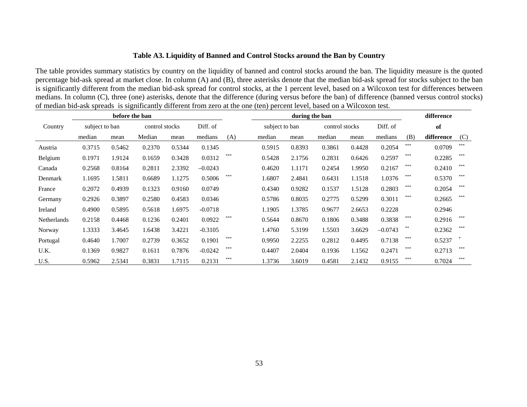## **Table A3. Liquidity of Banned and Control Stocks around the Ban by Country**

The table provides summary statistics by country on the liquidity of banned and control stocks around the ban. The liquidity measure is the quoted percentage bid-ask spread at market close. In column (A) and (B), three asterisks denote that the median bid-ask spread for stocks subject to the ban is significantly different from the median bid-ask spread for control stocks, at the 1 percent level, based on a Wilcoxon test for differences between medians. In column (C), three (one) asterisks, denote that the difference (during versus before the ban) of difference (banned versus control stocks) of median bid-ask spreads is significantly different from zero at the one (ten) percent level, based on a Wilcoxon test.

|             |                | before the ban |                |        |           |     |                | during the ban |                |        |           |       | difference |     |
|-------------|----------------|----------------|----------------|--------|-----------|-----|----------------|----------------|----------------|--------|-----------|-------|------------|-----|
| Country     | subject to ban |                | control stocks |        | Diff. of  |     | subject to ban |                | control stocks |        | Diff. of  |       | of         |     |
|             | median         | mean           | Median         | mean   | medians   | (A) | median         | mean           | median         | mean   | medians   | (B)   | difference | (C) |
| Austria     | 0.3715         | 0.5462         | 0.2370         | 0.5344 | 0.1345    |     | 0.5915         | 0.8393         | 0.3861         | 0.4428 | 0.2054    | ***   | 0.0709     | *** |
| Belgium     | 0.1971         | 1.9124         | 0.1659         | 0.3428 | 0.0312    | *** | 0.5428         | 2.1756         | 0.2831         | 0.6426 | 0.2597    | ***   | 0.2285     | *** |
| Canada      | 0.2568         | 0.8164         | 0.2811         | 2.3392 | $-0.0243$ |     | 0.4620         | 1.1171         | 0.2454         | 1.9950 | 0.2167    | ***   | 0.2410     | *** |
| Denmark     | 1.1695         | 1.5811         | 0.6689         | 1.1275 | 0.5006    | *** | 1.6807         | 2.4841         | 0.6431         | 1.1518 | 1.0376    | ***   | 0.5370     | *** |
| France      | 0.2072         | 0.4939         | 0.1323         | 0.9160 | 0.0749    |     | 0.4340         | 0.9282         | 0.1537         | 1.5128 | 0.2803    | ***   | 0.2054     | *** |
| Germany     | 0.2926         | 0.3897         | 0.2580         | 0.4583 | 0.0346    |     | 0.5786         | 0.8035         | 0.2775         | 0.5299 | 0.3011    | ***   | 0.2665     | *** |
| Ireland     | 0.4900         | 0.5895         | 0.5618         | 1.6975 | $-0.0718$ |     | 1.1905         | 1.3785         | 0.9677         | 2.6653 | 0.2228    |       | 0.2946     |     |
| Netherlands | 0.2158         | 0.4468         | 0.1236         | 0.2401 | 0.0922    | *** | 0.5644         | 0.8670         | 0.1806         | 0.3488 | 0.3838    | ***   | 0.2916     | *** |
| Norway      | 1.3333         | 3.4645         | 1.6438         | 3.4221 | $-0.3105$ |     | 1.4760         | 5.3199         | 1.5503         | 3.6629 | $-0.0743$ | $* *$ | 0.2362     | *** |
| Portugal    | 0.4640         | 1.7007         | 0.2739         | 0.3652 | 0.1901    | *** | 0.9950         | 2.2255         | 0.2812         | 0.4495 | 0.7138    | ***   | 0.5237     |     |
| U.K.        | 0.1369         | 0.9827         | 0.1611         | 0.7876 | $-0.0242$ | *** | 0.4407         | 2.0404         | 0.1936         | 1.1562 | 0.2471    | ***   | 0.2713     | *** |
| U.S.        | 0.5962         | 2.5341         | 0.3831         | 1.7115 | 0.2131    | *** | 1.3736         | 3.6019         | 0.4581         | 2.1432 | 0.9155    | $***$ | 0.7024     | *** |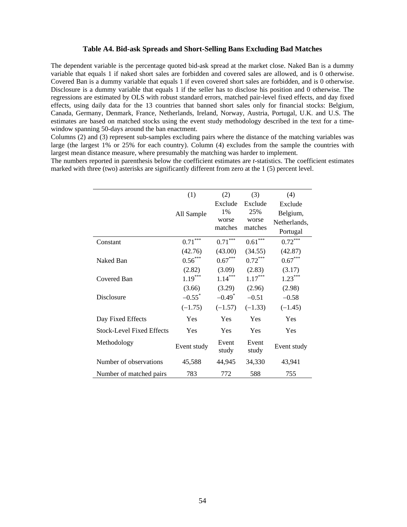#### **Table A4. Bid-ask Spreads and Short-Selling Bans Excluding Bad Matches**

The dependent variable is the percentage quoted bid-ask spread at the market close. Naked Ban is a dummy variable that equals 1 if naked short sales are forbidden and covered sales are allowed, and is 0 otherwise. Covered Ban is a dummy variable that equals 1 if even covered short sales are forbidden, and is 0 otherwise. Disclosure is a dummy variable that equals 1 if the seller has to disclose his position and 0 otherwise*.* The regressions are estimated by OLS with robust standard errors, matched pair-level fixed effects, and day fixed effects, using daily data for the 13 countries that banned short sales only for financial stocks: Belgium, Canada, Germany, Denmark, France, Netherlands, Ireland, Norway, Austria, Portugal, U.K. and U.S. The estimates are based on matched stocks using the event study methodology described in the text for a timewindow spanning 50-days around the ban enactment.

Columns  $(2)$  and  $(3)$  represent sub-samples excluding pairs where the distance of the matching variables was large (the largest 1% or 25% for each country). Column (4) excludes from the sample the countries with largest mean distance measure, where presumably the matching was harder to implement.

The numbers reported in parenthesis below the coefficient estimates are *t*-statistics. The coefficient estimates marked with three (two) asterisks are significantly different from zero at the 1 (5) percent level.

|                                  | (1)         | (2)                  | (3)            | (4)                   |
|----------------------------------|-------------|----------------------|----------------|-----------------------|
|                                  |             | Exclude              | Exclude        | Exclude               |
|                                  | All Sample  | 1%                   | 25%            | Belgium,              |
|                                  |             | worse                | worse          | Netherlands,          |
|                                  |             | matches              | matches        | Portugal              |
| Constant                         | ***<br>0.71 | ***<br>0.71          | ***<br>0.61    | $0.72^{\ast\ast\ast}$ |
|                                  | (42.76)     | (43.00)              | (34.55)        | (42.87)               |
| Naked Ban                        | $0.56***$   | $0.67***$            | $0.72***$      | $0.67^{\ast\ast\ast}$ |
|                                  | (2.82)      | (3.09)               | (2.83)         | (3.17)                |
| Covered Ban                      | $1.19***$   | $1.14***$            | $1.17***$      | $1.23***$             |
|                                  | (3.66)      | (3.29)               | (2.96)         | (2.98)                |
| Disclosure                       | $-0.55$ *   | $-0.49$ <sup>*</sup> | $-0.51$        | $-0.58$               |
|                                  | $(-1.75)$   | $(-1.57)$            | $(-1.33)$      | $(-1.45)$             |
| Day Fixed Effects                | Yes         | <b>Yes</b>           | Yes            | Yes                   |
| <b>Stock-Level Fixed Effects</b> | Yes         | Yes                  | Yes            | Yes                   |
| Methodology                      | Event study | Event<br>study       | Event<br>study | Event study           |
| Number of observations           | 45,588      | 44,945               | 34,330         | 43,941                |
| Number of matched pairs          | 783         | 772                  | 588            | 755                   |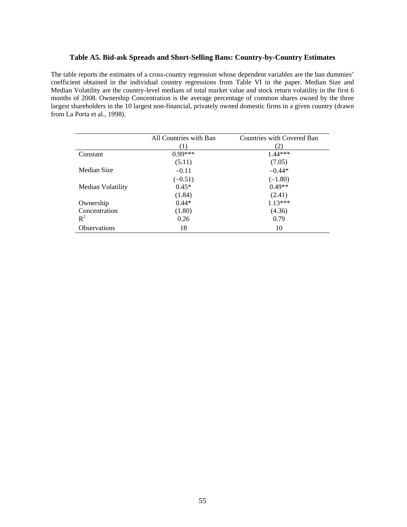## **Table A5. Bid-ask Spreads and Short-Selling Bans: Country-by-Country Estimates**

The table reports the estimates of a cross-country regression whose dependent variables are the ban dummies' coefficient obtained in the individual country regressions from Table VI in the paper. Median Size and Median Volatility are the country-level medians of total market value and stock return volatility in the first 6 months of 2008. Ownership Concentration is the average percentage of common shares owned by the three largest shareholders in the 10 largest non-financial, privately owned domestic firms in a given country (drawn from La Porta et al., 1998).

|                     | All Countries with Ban | Countries with Covered Ban |
|---------------------|------------------------|----------------------------|
|                     | $\left(1\right)$       | (2)                        |
| Constant            | $0.99***$              | $1.44***$                  |
|                     | (5.11)                 | (7.05)                     |
| Median Size         | $-0.11$                | $-0.44*$                   |
|                     | $(-0.51)$              | $(-1.80)$                  |
| Median Volatility   | $0.45*$                | $0.49**$                   |
|                     | (1.84)                 | (2.41)                     |
| Ownership           | $0.44*$                | $1.13***$                  |
| Concentration       | (1.80)                 | (4.36)                     |
| $R^2$               | 0.26                   | 0.79                       |
| <b>Observations</b> | 18                     | 10                         |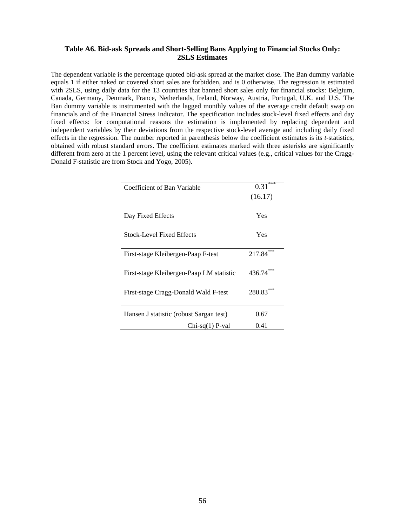## **Table A6. Bid-ask Spreads and Short-Selling Bans Applying to Financial Stocks Only: 2SLS Estimates**

The dependent variable is the percentage quoted bid-ask spread at the market close. The Ban dummy variable equals 1 if either naked or covered short sales are forbidden, and is 0 otherwise. The regression is estimated with 2SLS, using daily data for the 13 countries that banned short sales only for financial stocks: Belgium, Canada, Germany, Denmark, France, Netherlands, Ireland, Norway, Austria, Portugal, U.K. and U.S. The Ban dummy variable is instrumented with the lagged monthly values of the average credit default swap on financials and of the Financial Stress Indicator. The specification includes stock-level fixed effects and day fixed effects: for computational reasons the estimation is implemented by replacing dependent and independent variables by their deviations from the respective stock-level average and including daily fixed effects in the regression. The number reported in parenthesis below the coefficient estimates is its *t*-statistics, obtained with robust standard errors. The coefficient estimates marked with three asterisks are significantly different from zero at the 1 percent level, using the relevant critical values (e.g., critical values for the Cragg-Donald F-statistic are from Stock and Yogo, 2005).

| Coefficient of Ban Variable              | 0.31          |
|------------------------------------------|---------------|
|                                          | (16.17)       |
|                                          |               |
| Day Fixed Effects                        | Yes           |
|                                          |               |
| Stock-Level Fixed Effects                | Yes           |
|                                          |               |
| First-stage Kleibergen-Paap F-test       | 217.84***     |
|                                          |               |
| First-stage Kleibergen-Paap LM statistic | ***<br>436.74 |
|                                          |               |
| First-stage Cragg-Donald Wald F-test     | 280.83        |
|                                          |               |
| Hansen J statistic (robust Sargan test)  | 0.67          |
| $Chi-sq(1)$ P-val                        | 0.41          |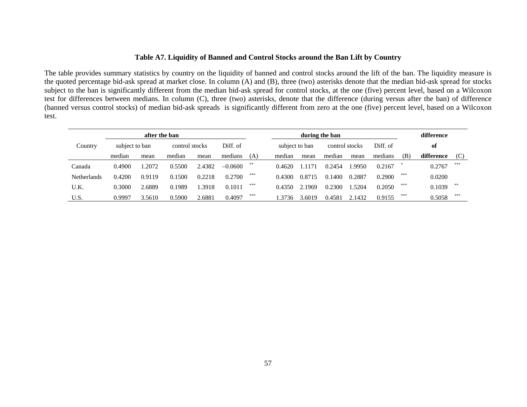## **Table A7. Liquidity of Banned and Control Stocks around the Ban Lift by Country**

The table provides summary statistics by country on the liquidity of banned and control stocks around the lift of the ban. The liquidity measure is the quoted percentage bid-ask spread at market close. In column (A) and (B), three (two) asterisks denote that the median bid-ask spread for stocks subject to the ban is significantly different from the median bid-ask spread for control stocks, at the one (five) percent level, based on a Wilcoxon test for differences between medians. In column (C), three (two) asterisks, denote that the difference (during versus after the ban) of difference (banned versus control stocks) of median bid-ask spreads is significantly different from zero at the one (five) percent level, based on a Wilcoxon test.

|                    |                | during the ban |                |        |           |     |                | difference |                |        |          |     |            |     |
|--------------------|----------------|----------------|----------------|--------|-----------|-----|----------------|------------|----------------|--------|----------|-----|------------|-----|
| Country            | subject to ban |                | control stocks |        | Diff. of  |     | subject to ban |            | control stocks |        | Diff. of |     | of         |     |
|                    | median         | mean           | median         | mean   | medians   | (A) | median         | mean       | median         | mean   | medians  | (B) | difference | (C) |
| Canada             | 0.4900         | 1.2072         | 0.5500         | 2.4382 | $-0.0600$ | **  | 0.4620         | '1171      | 0.2454         | .9950  | 0.2167   |     | 0.2767     | *** |
| <b>Netherlands</b> | 0.4200         | 0.9119         | 0.1500         | 0.2218 | 0.2700    | *** | 0.4300         | 0.8715     | 0.1400         | 0.2887 | 0.2900   | *** | 0.0200     |     |
| U.K.               | 0.3000         | 2.6889         | 0.1989         | 1.3918 | 0.1011    | *** | 0.4350         | 2.1969     | 0.2300         | .5204  | 0.2050   | *** | 0.1039     | **  |
| U.S.               | 0.9997         | 3.5610         | 0.5900         | 2.6881 | 0.4097    | *** | .3736          | 3.6019     | 0.4581         | 2.1432 | 0.9155   | *** | 0.5058     | *** |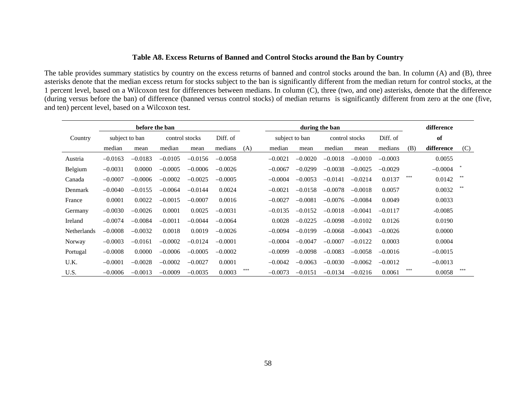# **Table A8. Excess Returns of Banned and Control Stocks around the Ban by Country**

The table provides summary statistics by country on the excess returns of banned and control stocks around the ban. In column (A) and (B), three asterisks denote that the median excess return for stocks subject to the ban is significantly different from the median return for control stocks, at the 1 percent level, based on a Wilcoxon test for differences between medians. In column (C), three (two, and one) asterisks, denote that the difference (during versus before the ban) of difference (banned versus control stocks) of median returns is significantly different from zero at the one (five, and ten) percent level, based on a Wilcoxon test.

|             | before the ban |           |                |           |           |     | during the ban |                |                |           |           |     | difference |     |
|-------------|----------------|-----------|----------------|-----------|-----------|-----|----------------|----------------|----------------|-----------|-----------|-----|------------|-----|
| Country     | subject to ban |           | control stocks |           | Diff. of  |     |                | subject to ban | control stocks |           | Diff. of  |     | of         |     |
|             | median         | mean      | median         | mean      | medians   | (A) | median         | mean           | median         | mean      | medians   | (B) | difference | (C) |
| Austria     | $-0.0163$      | $-0.0183$ | $-0.0105$      | $-0.0156$ | $-0.0058$ |     | $-0.0021$      | $-0.0020$      | $-0.0018$      | $-0.0010$ | $-0.0003$ |     | 0.0055     |     |
| Belgium     | $-0.0031$      | 0.0000    | $-0.0005$      | $-0.0006$ | $-0.0026$ |     | $-0.0067$      | $-0.0299$      | $-0.0038$      | $-0.0025$ | $-0.0029$ |     | $-0.0004$  |     |
| Canada      | $-0.0007$      | $-0.0006$ | $-0.0002$      | $-0.0025$ | $-0.0005$ |     | $-0.0004$      | $-0.0053$      | $-0.0141$      | $-0.0214$ | 0.0137    | *** | 0.0142     | **  |
| Denmark     | $-0.0040$      | $-0.0155$ | $-0.0064$      | $-0.0144$ | 0.0024    |     | $-0.0021$      | $-0.0158$      | $-0.0078$      | $-0.0018$ | 0.0057    |     | 0.0032     | **  |
| France      | 0.0001         | 0.0022    | $-0.0015$      | $-0.0007$ | 0.0016    |     | $-0.0027$      | $-0.0081$      | $-0.0076$      | $-0.0084$ | 0.0049    |     | 0.0033     |     |
| Germany     | $-0.0030$      | $-0.0026$ | 0.0001         | 0.0025    | $-0.0031$ |     | $-0.0135$      | $-0.0152$      | $-0.0018$      | $-0.0041$ | $-0.0117$ |     | $-0.0085$  |     |
| Ireland     | $-0.0074$      | $-0.0084$ | $-0.0011$      | $-0.0044$ | $-0.0064$ |     | 0.0028         | $-0.0225$      | $-0.0098$      | $-0.0102$ | 0.0126    |     | 0.0190     |     |
| Netherlands | $-0.0008$      | $-0.0032$ | 0.0018         | 0.0019    | $-0.0026$ |     | $-0.0094$      | $-0.0199$      | $-0.0068$      | $-0.0043$ | $-0.0026$ |     | 0.0000     |     |
| Norway      | $-0.0003$      | $-0.0161$ | $-0.0002$      | $-0.0124$ | $-0.0001$ |     | $-0.0004$      | $-0.0047$      | $-0.0007$      | $-0.0122$ | 0.0003    |     | 0.0004     |     |
| Portugal    | $-0.0008$      | 0.0000    | $-0.0006$      | $-0.0005$ | $-0.0002$ |     | $-0.0099$      | $-0.0098$      | $-0.0083$      | $-0.0058$ | $-0.0016$ |     | $-0.0015$  |     |
| U.K.        | $-0.0001$      | $-0.0028$ | $-0.0002$      | $-0.0027$ | 0.0001    |     | $-0.0042$      | $-0.0063$      | $-0.0030$      | $-0.0062$ | $-0.0012$ |     | $-0.0013$  |     |
| U.S.        | $-0.0006$      | $-0.0013$ | $-0.0009$      | $-0.0035$ | 0.0003    | *** | $-0.0073$      | $-0.0151$      | $-0.0134$      | $-0.0216$ | 0.0061    | *** | 0.0058     | *** |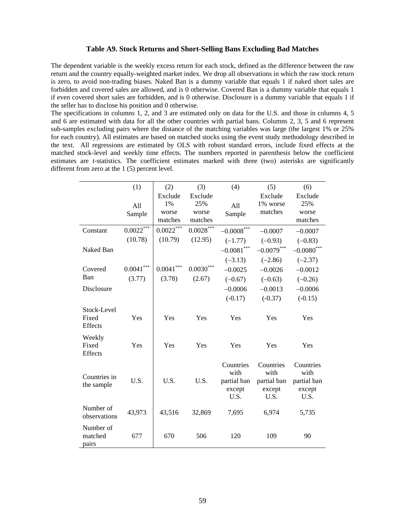#### **Table A9. Stock Returns and Short-Selling Bans Excluding Bad Matches**

The dependent variable is the weekly excess return for each stock, defined as the difference between the raw return and the country equally-weighted market index. We drop all observations in which the raw stock return is zero, to avoid non-trading biases. Naked Ban is a dummy variable that equals 1 if naked short sales are forbidden and covered sales are allowed, and is 0 otherwise. Covered Ban is a dummy variable that equals 1 if even covered short sales are forbidden, and is 0 otherwise. Disclosure is a dummy variable that equals 1 if the seller has to disclose his position and 0 otherwise*.*

The specifications in columns 1, 2, and 3 are estimated only on data for the U.S. and those in columns 4, 5 and 6 are estimated with data for all the other countries with partial bans. Columns 2, 3, 5 and 6 represent sub-samples excluding pairs where the distance of the matching variables was large (the largest 1% or 25% for each country). All estimates are based on matched stocks using the event study methodology described in the text. All regressions are estimated by OLS with robust standard errors, include fixed effects at the matched stock-level and weekly time effects. The numbers reported in parenthesis below the coefficient estimates are *t*-statistics. The coefficient estimates marked with three (two) asterisks are significantly different from zero at the 1 (5) percent level.

|                                 | (1)           | (2)                               | (3)                                | (4)                                                | (5)                                                | (6)                                                |  |
|---------------------------------|---------------|-----------------------------------|------------------------------------|----------------------------------------------------|----------------------------------------------------|----------------------------------------------------|--|
|                                 | All<br>Sample | Exclude<br>1%<br>worse<br>matches | Exclude<br>25%<br>worse<br>matches | All<br>Sample                                      | Exclude<br>1% worse<br>matches                     | Exclude<br>25%<br>worse<br>matches                 |  |
| Constant                        | $0.0022***$   | $0.0022***$                       | $0.0028***$                        | $-0.0008***$                                       | $-0.0007$                                          | $-0.0007$                                          |  |
|                                 | (10.78)       | (10.79)                           | (12.95)                            | $(-1.77)$                                          | $(-0.93)$                                          | $(-0.83)$                                          |  |
| Naked Ban                       |               |                                   |                                    | $-0.0081$                                          | $-0.0079***$                                       | $-0.0080$ ***                                      |  |
|                                 |               |                                   |                                    | $(-3.13)$                                          | $(-2.86)$                                          | $(-2.37)$                                          |  |
| Covered                         | 0.0041        | ***<br>0.0041                     | 0.0030                             | $-0.0025$                                          | $-0.0026$                                          | $-0.0012$                                          |  |
| Ban                             | (3.77)        | (3.78)                            | (2.67)                             | $(-0.67)$                                          | $(-0.63)$                                          | $(-0.26)$                                          |  |
| Disclosure                      |               |                                   |                                    | $-0.0006$                                          | $-0.0013$                                          | $-0.0006$                                          |  |
|                                 |               |                                   |                                    | $(-0.17)$                                          | $(-0.37)$                                          | $(-0.15)$                                          |  |
| Stock-Level<br>Fixed<br>Effects | Yes           | Yes                               | Yes                                | Yes                                                | Yes                                                | Yes                                                |  |
| Weekly<br>Fixed<br>Effects      | Yes           | Yes                               | Yes                                | Yes                                                | Yes                                                | Yes                                                |  |
| Countries in<br>the sample      | U.S.          | U.S.                              | U.S.                               | Countries<br>with<br>partial ban<br>except<br>U.S. | Countries<br>with<br>partial ban<br>except<br>U.S. | Countries<br>with<br>partial ban<br>except<br>U.S. |  |
| Number of<br>observations       | 43,973        | 43,516                            | 32,869                             | 7,695                                              | 6,974                                              | 5,735                                              |  |
| Number of<br>matched<br>pairs   | 677           | 670                               | 506                                | 120                                                | 109                                                | 90                                                 |  |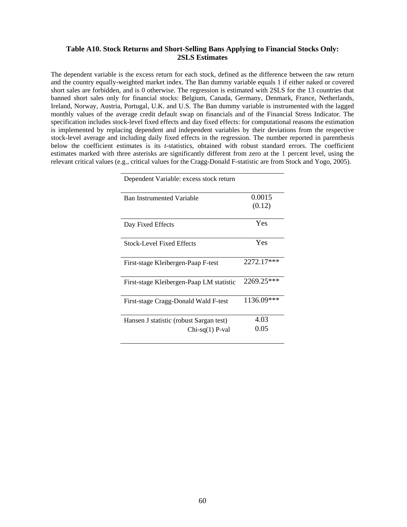## **Table A10. Stock Returns and Short-Selling Bans Applying to Financial Stocks Only: 2SLS Estimates**

The dependent variable is the excess return for each stock, defined as the difference between the raw return and the country equally-weighted market index. The Ban dummy variable equals 1 if either naked or covered short sales are forbidden, and is 0 otherwise. The regression is estimated with 2SLS for the 13 countries that banned short sales only for financial stocks: Belgium, Canada, Germany, Denmark, France, Netherlands, Ireland, Norway, Austria, Portugal, U.K. and U.S. The Ban dummy variable is instrumented with the lagged monthly values of the average credit default swap on financials and of the Financial Stress Indicator. The specification includes stock-level fixed effects and day fixed effects: for computational reasons the estimation is implemented by replacing dependent and independent variables by their deviations from the respective stock-level average and including daily fixed effects in the regression. The number reported in parenthesis below the coefficient estimates is its *t*-statistics, obtained with robust standard errors. The coefficient estimates marked with three asterisks are significantly different from zero at the 1 percent level, using the relevant critical values (e.g., critical values for the Cragg-Donald F-statistic are from Stock and Yogo, 2005).

| Dependent Variable: excess stock return  |            |
|------------------------------------------|------------|
| <b>Ban Instrumented Variable</b>         | 0.0015     |
|                                          | (0.12)     |
| Day Fixed Effects                        | Yes        |
| <b>Stock-Level Fixed Effects</b>         | Yes        |
| First-stage Kleibergen-Paap F-test       | 2272.17*** |
| First-stage Kleibergen-Paap LM statistic | 2269.25*** |
| First-stage Cragg-Donald Wald F-test     | 1136.09*** |
| Hansen J statistic (robust Sargan test)  | 4.03       |
| $Chi-sq(1)$ P-val                        | 0.05       |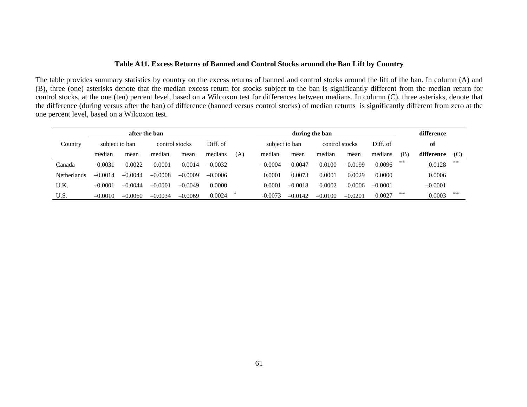## **Table A11. Excess Returns of Banned and Control Stocks around the Ban Lift by Country**

The table provides summary statistics by country on the excess returns of banned and control stocks around the lift of the ban. In column (A) and (B), three (one) asterisks denote that the median excess return for stocks subject to the ban is significantly different from the median return for control stocks, at the one (ten) percent level, based on a Wilcoxon test for differences between medians. In column (C), three asterisks, denote that the difference (during versus after the ban) of difference (banned versus control stocks) of median returns is significantly different from zero at the one percent level, based on a Wilcoxon test.

| after the ban      |                |           |           |                |           |     | during the ban |           |                |           |           |     | difference |     |
|--------------------|----------------|-----------|-----------|----------------|-----------|-----|----------------|-----------|----------------|-----------|-----------|-----|------------|-----|
| Country            | subject to ban |           |           | control stocks | Diff. of  |     | subject to ban |           | control stocks |           | Diff. of  |     | of         |     |
|                    | median         | mean      | median    | mean           | medians   | (A) | median         | mean      | median         | mean      | medians   | (B) | difference | (C) |
| Canada             | $-0.0031$      | $-0.0022$ | 0.0001    | 0.0014         | $-0.0032$ |     | $-0.0004$      | $-0.0047$ | $-0.0100$      | $-0.0199$ | 0.0096    | *** | 0.0128     | *** |
| <b>Netherlands</b> | $-0.0014$      | $-0.0044$ | $-0.0008$ | $-0.0009$      | $-0.0006$ |     | 0.0001         | 0.0073    | 0.0001         | 0.0029    | 0.0000    |     | 0.0006     |     |
| U.K.               | $-0.0001$      | $-0.0044$ | $-0.0001$ | $-0.0049$      | 0.0000    |     | 0.0001         | $-0.0018$ | 0.0002         | 0.0006    | $-0.0001$ |     | $-0.0001$  |     |
| U.S.               | $-0.0010$      | $-0.0060$ | $-0.0034$ | $-0.0069$      | 0.0024    |     | $-0.0073$      | $-0.0142$ | $-0.0100$      | $-0.0201$ | 0.0027    | *** | 0.0003     | *** |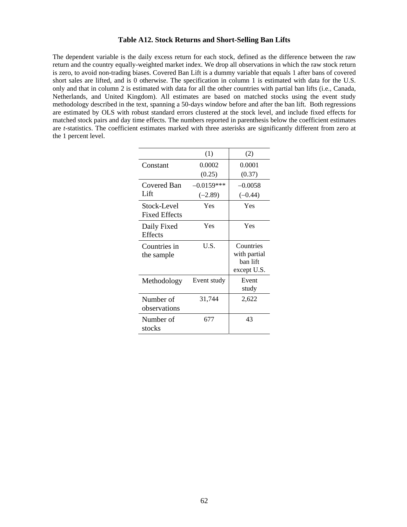## **Table A12. Stock Returns and Short-Selling Ban Lifts**

The dependent variable is the daily excess return for each stock, defined as the difference between the raw return and the country equally-weighted market index. We drop all observations in which the raw stock return is zero, to avoid non-trading biases. Covered Ban Lift is a dummy variable that equals 1 after bans of covered short sales are lifted, and is 0 otherwise. The specification in column 1 is estimated with data for the U.S. only and that in column 2 is estimated with data for all the other countries with partial ban lifts (i.e., Canada, Netherlands, and United Kingdom). All estimates are based on matched stocks using the event study methodology described in the text, spanning a 50-days window before and after the ban lift. Both regressions are estimated by OLS with robust standard errors clustered at the stock level, and include fixed effects for matched stock pairs and day time effects. The numbers reported in parenthesis below the coefficient estimates are *t*-statistics. The coefficient estimates marked with three asterisks are significantly different from zero at the 1 percent level.

|                                     | (1)          | (2)                                                  |
|-------------------------------------|--------------|------------------------------------------------------|
| Constant                            | 0.0002       | 0.0001                                               |
|                                     | (0.25)       | (0.37)                                               |
| Covered Ban                         | $-0.0159***$ | $-0.0058$                                            |
| Lift                                | $(-2.89)$    | $(-0.44)$                                            |
| Stock-Level<br><b>Fixed Effects</b> | Yes          | Yes                                                  |
| Daily Fixed<br><b>Effects</b>       | Yes          | Yes                                                  |
| Countries in<br>the sample          | U.S.         | Countries<br>with partial<br>ban lift<br>except U.S. |
| Methodology                         | Event study  | Event<br>study                                       |
| Number of<br>observations           | 31,744       | 2,622                                                |
| Number of<br>stocks                 | 677          | 43                                                   |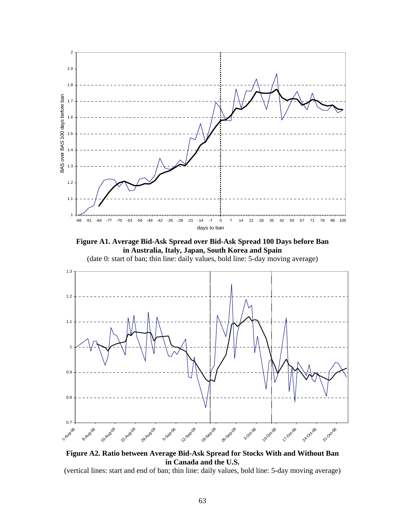

**Figure A1. Average Bid-Ask Spread over Bid-Ask Spread 100 Days before Ban in Australia, Italy, Japan, South Korea and Spain** 

(date 0: start of ban; thin line: daily values, bold line: 5-day moving average)



**Figure A2. Ratio between Average Bid-Ask Spread for Stocks With and Without Ban in Canada and the U.S.** 

(vertical lines: start and end of ban; thin line: daily values, bold line: 5-day moving average)